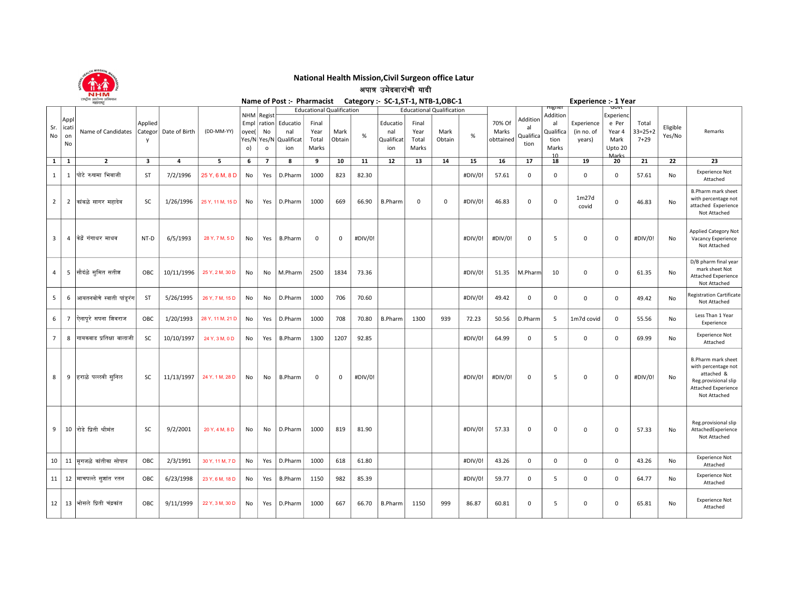

## National Health Mission, Civil Surgeon office Latur

## अपात्र उमेदवारांची यादी

|                |                | राष्ट्रीय आरोज्य ओभयान<br>महाराष्ट्र         |            |                |                  |       |                | Name of Post :- Pharmacist |                                  |          |         | Category :- SC-1, ST-1, NTB-1, OBC-1 |             |                                  |         |           |             |               | <b>Experience :- 1 Year</b> |             |           |          |                                                                                                                               |
|----------------|----------------|----------------------------------------------|------------|----------------|------------------|-------|----------------|----------------------------|----------------------------------|----------|---------|--------------------------------------|-------------|----------------------------------|---------|-----------|-------------|---------------|-----------------------------|-------------|-----------|----------|-------------------------------------------------------------------------------------------------------------------------------|
|                |                |                                              |            |                |                  |       |                |                            | <b>Educational Qualification</b> |          |         |                                      |             | <b>Educational Qualification</b> |         |           |             | <b>Higher</b> |                             | Govt        |           |          |                                                                                                                               |
|                | Appl           |                                              |            |                |                  |       | NHM   Regist   |                            |                                  |          |         |                                      |             |                                  |         |           | Addition    | Addition      |                             | Experienc   |           |          |                                                                                                                               |
| Sr.            | icat           |                                              | Applied    |                |                  | Empl  | ration         | Educatio                   | Final                            |          |         | Educatio                             | Final       |                                  |         | 70% Of    | al          | аl            | Experience                  | e Per       | Total     | Eligible |                                                                                                                               |
| No             | on             | Name of Candidates   Categor   Date of Birth |            |                | (DD-MM-YY)       | oyee( | No             | nal                        | Year                             | Mark     | $\%$    | nal                                  | Year        | Mark                             | $\%$    | Marks     | Qualifica   | Qualifica     | (in no. of                  | Year 4      | $33=25+2$ | Yes/No   | Remarks                                                                                                                       |
|                | No             |                                              | y          |                |                  | Yes/N | Yes/N          | Qualificat                 | Total                            | Obtain   |         | Qualificat                           | Total       | Obtain                           |         | obttained | tion        | tion          | years)                      | Mark        | $7 + 29$  |          |                                                                                                                               |
|                |                |                                              |            |                |                  | o)    | $\mathsf{o}$   | ion                        | Marks                            |          |         | ion                                  | Marks       |                                  |         |           |             | Marks         |                             | Upto 20     |           |          |                                                                                                                               |
| 1              | $\mathbf{1}$   | $\overline{2}$                               | 3          | $\overline{4}$ | 5                | 6     | $\overline{7}$ | 8                          | 9                                | 10       | 11      | 12                                   | 13          | 14                               | 15      | 16        | 17          | 10<br>18      | 19                          | Marks<br>20 | 21        | 22       | 23                                                                                                                            |
|                |                |                                              |            |                |                  |       |                |                            |                                  |          |         |                                      |             |                                  |         |           |             |               |                             |             |           |          |                                                                                                                               |
| 1              | $\mathbf{1}$   | पोटे रुखमा भिवाजी                            | <b>ST</b>  | 7/2/1996       | 25 Y, 6 M, 8 D   | No    | Yes            | D.Pharm                    | 1000                             | 823      | 82.30   |                                      |             |                                  | #DIV/0! | 57.61     | $\mathbf 0$ | $\mathbf 0$   | $\mathbf 0$                 | 0           | 57.61     | No       | <b>Experience Not</b><br>Attached                                                                                             |
| $\overline{2}$ | $\overline{2}$ | कांबळे सागर महादेव                           | <b>SC</b>  | 1/26/1996      | 25 Y, 11 M, 15 D | No    | Yes            | D.Pharm                    | 1000                             | 669      | 66.90   | <b>B.Pharm</b>                       | $\mathbf 0$ | $\Omega$                         | #DIV/0! | 46.83     | $\mathbf 0$ | $\mathbf 0$   | 1m27d<br>covid              | 0           | 46.83     | No       | <b>B.Pharm mark sheet</b><br>with percentage not<br>attached Experience<br>Not Attached                                       |
| 3              | 4              | किद्रें गंगाधर माधव                          | NT-D       | 6/5/1993       | 28 Y, 7 M, 5 D   | No    | Yes            | <b>B.Pharm</b>             | $\mathbf 0$                      | $\Omega$ | #DIV/0! |                                      |             |                                  | #DIV/0! | #DIV/0!   | $\mathsf 0$ | 5             | $\mathbf 0$                 | 0           | #DIV/0!   | No       | Applied Category Not<br>Vacancy Experience<br>Not Attached                                                                    |
| 4              | 5              | सौदळे समित सतीश                              | <b>OBC</b> | 10/11/1996     | 25 Y, 2 M, 30 D  | No    | No             | M.Pharm                    | 2500                             | 1834     | 73.36   |                                      |             |                                  | #DIV/0! | 51.35     | M.Pharm     | 10            | $\mathbf 0$                 | $\Omega$    | 61.35     | No       | D/B pharm final year<br>mark sheet Not<br><b>Attached Experience</b><br>Not Attached                                          |
| 5              | 6              | आयतनबोणे स्वाती पांडुरंग                     | ST         | 5/26/1995      | 26 Y, 7 M, 15 D  | No    | No             | D.Pharm                    | 1000                             | 706      | 70.60   |                                      |             |                                  | #DIV/0! | 49.42     | $\mathbf 0$ | $\mathbf 0$   | $\mathsf 0$                 | 0           | 49.42     | No       | Registration Cartificate<br>Not Attached                                                                                      |
| 6              | $\overline{7}$ | ऐनापरे सपना शिवराज                           | OBC        | 1/20/1993      | 28 Y, 11 M, 21 D | No    | Yes            | D.Pharm                    | 1000                             | 708      | 70.80   | <b>B.Pharm</b>                       | 1300        | 939                              | 72.23   | 50.56     | D.Pharm     | 5             | 1m7d covid                  | $\mathbf 0$ | 55.56     | No       | Less Than 1 Year<br>Experience                                                                                                |
| $\overline{7}$ | 8              | गायकवाड प्रतिक्षा बालाजी                     | SC         | 10/10/1997     | 24 Y, 3 M, 0 D   | No    | Yes            | B.Pharm                    | 1300                             | 1207     | 92.85   |                                      |             |                                  | #DIV/0! | 64.99     | 0           | 5             | 0                           | 0           | 69.99     | No       | <b>Experience Not</b><br>Attached                                                                                             |
| 8              | 9              | हराळे पल्लवी सुनिल                           | SC         | 11/13/1997     | 24 Y, 1 M, 28 D  | No    | No             | B.Pharm                    | $\mathbf 0$                      | $\Omega$ | #DIV/0! |                                      |             |                                  | #DIV/0! | #DIV/0!   | $\mathbf 0$ | 5             | $\mathbf 0$                 | $\Omega$    | #DIV/0!   | No       | B.Pharm mark sheet<br>with percentage not<br>attached &<br>Reg.provisional slip<br><b>Attached Experience</b><br>Not Attached |
| 9              |                | 10 रोडे प्रिती श्रीमंत                       | SC         | 9/2/2001       | 20 Y, 4 M, 8 D   | No    | No             | D.Pharm                    | 1000                             | 819      | 81.90   |                                      |             |                                  | #DIV/0! | 57.33     | $\mathbf 0$ | $\mathbf 0$   | $\mathbf 0$                 | $\Omega$    | 57.33     | No       | Reg.provisional slip<br>AttachedExperience<br>Not Attached                                                                    |
| 10             |                | 11  मगजळे कांतीका सोपान                      | OBC        | 2/3/1991       | 30 Y, 11 M, 7 D  | No    | Yes            | D.Pharm                    | 1000                             | 618      | 61.80   |                                      |             |                                  | #DIV/0! | 43.26     | $\mathsf 0$ | 0             | $\mathsf 0$                 | 0           | 43.26     | No       | <b>Experience Not</b><br>Attached                                                                                             |
| 11             |                | 12  माचपल्ले सूशांत रतन                      | <b>OBC</b> | 6/23/1998      | 23 Y, 6 M, 18 D  | No    | Yes            | B.Pharm                    | 1150                             | 982      | 85.39   |                                      |             |                                  | #DIV/0! | 59.77     | $\mathbf 0$ | 5             | 0                           | 0           | 64.77     | No       | <b>Experience Not</b><br>Attached                                                                                             |
| 12             |                | 13  भोसले प्रिती चंद्रकांत                   | OBC        | 9/11/1999      | 22 Y, 3 M, 30 D  | No    | Yes            | D.Pharm                    | 1000                             | 667      | 66.70   | <b>B.Pharm</b>                       | 1150        | 999                              | 86.87   | 60.81     | $\mathsf 0$ | 5             | $\mathbf 0$                 | 0           | 65.81     | No       | <b>Experience Not</b><br>Attached                                                                                             |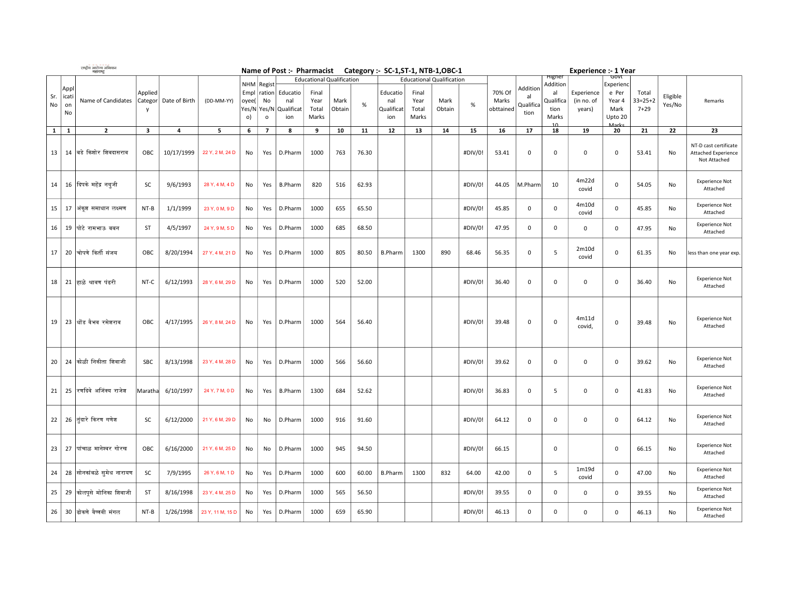|     |                   | राष्ट्रीय आरोज्य अभियान<br>महाराष्ट्र |            |               |                  |          |                |                 |                                  |        |       | Name of Post :- Pharmacist Category :- SC-1, ST-1, NTB-1, OBC-1 |       |                                  |         |           |           |                    | Experience :- 1 Year |                          |               |          |                                                                     |
|-----|-------------------|---------------------------------------|------------|---------------|------------------|----------|----------------|-----------------|----------------------------------|--------|-------|-----------------------------------------------------------------|-------|----------------------------------|---------|-----------|-----------|--------------------|----------------------|--------------------------|---------------|----------|---------------------------------------------------------------------|
|     |                   |                                       |            |               |                  |          | NHM Regist     |                 | <b>Educational Qualification</b> |        |       |                                                                 |       | <b>Educational Qualification</b> |         |           |           | migner<br>Addition |                      | <b>GOVT</b><br>Experienc |               |          |                                                                     |
|     | Appl              |                                       | Applied    |               |                  | Empl     |                | ration Educatio | Final                            |        |       | Educatio                                                        | Final |                                  |         | 70% Of    | Addition  | al                 | Experience           | e Per                    | Total         |          |                                                                     |
| Sr. | icat              | Name of Candidates                    | Categor    | Date of Birth | (DD-MM-YY)       | oyee(    | No             | nal             | Year                             | Mark   |       | nal                                                             | Year  | Mark                             |         | Marks     | al        | Qualifica          | (in no. of           | Year 4                   | $33 = 25 + 2$ | Eligible | Remarks                                                             |
| No  | on                |                                       | v          |               |                  | Yes/N    | Yes/N          | Qualificat      | Total                            | Obtain | $\%$  | Qualificat                                                      | Total | Obtain                           | $\%$    | obttained | Qualifica | tion               | years)               | Mark                     | $7 + 29$      | Yes/No   |                                                                     |
|     | No                |                                       |            |               |                  | $\circ)$ | $\mathsf{o}$   | ion             | Marks                            |        |       | ion                                                             | Marks |                                  |         |           | tion      | Marks              |                      | Upto 20                  |               |          |                                                                     |
|     |                   |                                       |            |               |                  |          |                |                 |                                  |        |       |                                                                 |       |                                  |         |           |           | 10                 |                      | Marks                    |               |          |                                                                     |
|     | $\mathbf{1}$<br>1 | $\overline{2}$                        | 3          | 4             | 5                | 6        | $\overline{7}$ | 8               | 9                                | 10     | 11    | 12                                                              | 13    | 14                               | 15      | 16        | 17        | 18                 | 19                   | 20                       | 21            | 22       | 23                                                                  |
|     | 13                | 14 बिडे किशोर शिवदासराव               | OBC        | 10/17/1999    | 22 Y, 2 M, 24 D  | No       | Yes            | D.Pharm         | 1000                             | 763    | 76.30 |                                                                 |       |                                  | #DIV/0! | 53.41     | 0         | 0                  | 0                    | 0                        | 53.41         | No       | NT-D cast certificate<br><b>Attached Experience</b><br>Not Attached |
|     | 14                | 16 दिपके महेंद्र नथजी                 | SC         | 9/6/1993      | 28 Y, 4 M, 4 D   | No       | Yes            | <b>B.Pharm</b>  | 820                              | 516    | 62.93 |                                                                 |       |                                  | #DIV/0! | 44.05     | M.Pharm   | 10                 | 4m22d<br>covid       | 0                        | 54.05         | No       | <b>Experience Not</b><br>Attached                                   |
|     | 15                | 17  अंकूश समाधान लक्ष्मण              | NT-B       | 1/1/1999      | 23 Y, 0 M, 9 D   | No       | Yes            | D.Pharm         | 1000                             | 655    | 65.50 |                                                                 |       |                                  | #DIV/0! | 45.85     | 0         | 0                  | 4m10d<br>covid       | $\mathbf 0$              | 45.85         | No       | <b>Experience Not</b><br>Attached                                   |
| 16  |                   | 19 गिटे रामभाऊ बबन                    | ST         | 4/5/1997      | 24 Y, 9 M, 5 D   | No       | Yes            | D.Pharm         | 1000                             | 685    | 68.50 |                                                                 |       |                                  | #DIV/0! | 47.95     | 0         | $\mathbf 0$        | 0                    | $\mathbf 0$              | 47.95         | No       | <b>Experience Not</b><br>Attached                                   |
| 17  |                   | 20 चोपणे किर्ती संजय                  | OBC        | 8/20/1994     | 27 Y, 4 M, 21 D  | No       | Yes            | D.Pharm         | 1000                             | 805    | 80.50 | <b>B.Pharm</b>                                                  | 1300  | 890                              | 68.46   | 56.35     | 0         | 5                  | 2m10d<br>covid       | 0                        | 61.35         | No       | less than one year exp.                                             |
|     | 18                | 21  हाळे श्रावण पंढरी                 | NT-C       | 6/12/1993     | 28 Y, 6 M, 29 D  | No       | Yes            | D.Pharm         | 1000                             | 520    | 52.00 |                                                                 |       |                                  | #DIV/0! | 36.40     | 0         | $\mathbf 0$        | 0                    | $\mathbf 0$              | 36.40         | No       | <b>Experience Not</b><br>Attached                                   |
|     | 19                | 23  धोंड वैभव रमेशराव                 | OBC        | 4/17/1995     | 26 Y, 8 M, 24 D  | No       | Yes            | D.Pharm         | 1000                             | 564    | 56.40 |                                                                 |       |                                  | #DIV/0! | 39.48     | 0         | $\mathbf 0$        | 4m11d<br>covid,      | 0                        | 39.48         | No       | <b>Experience Not</b><br>Attached                                   |
| 20  |                   | 24 कोळी निकीता शिवाजी                 | <b>SBC</b> | 8/13/1998     | 23 Y, 4 M, 28 D  | No       | Yes            | D.Pharm         | 1000                             | 566    | 56.60 |                                                                 |       |                                  | #DIV/0! | 39.62     | 0         | $\mathbf 0$        | 0                    | $\mathbf 0$              | 39.62         | No       | <b>Experience Not</b><br>Attached                                   |
| 21  |                   | 25 रिणदिवे अजिंक्य राजेश              | Maratha    | 6/10/1997     | 24 Y, 7 M, 0 D   | No       | Yes            | <b>B.Pharm</b>  | 1300                             | 684    | 52.62 |                                                                 |       |                                  | #DIV/0! | 36.83     | 0         | 5                  | 0                    | 0                        | 41.83         | No       | <b>Experience Not</b><br>Attached                                   |
|     | 22                | 26 तुंदारे किरण गणेश                  | SC         | 6/12/2000     | 21 Y, 6 M, 29 D  | No       | No             | D.Pharm         | 1000                             | 916    | 91.60 |                                                                 |       |                                  | #DIV/0! | 64.12     | 0         | 0                  | 0                    | 0                        | 64.12         | No       | <b>Experience Not</b><br>Attached                                   |
| 23  |                   | 27  पांचाळ मानेश्वर गोरख              | OBC        | 6/16/2000     | 21 Y, 6 M, 25 D  | No       | No             | D.Pharm         | 1000                             | 945    | 94.50 |                                                                 |       |                                  | #DIV/0! | 66.15     |           | $\mathbf 0$        |                      | $\mathbf 0$              | 66.15         | No       | <b>Experience Not</b><br>Attached                                   |
|     | 24                | 28 सोनकांबळे सूमेध नारायण             | SC         | 7/9/1995      | 26 Y, 6 M, 1 D   | No       | Yes            | D.Pharm         | 1000                             | 600    | 60.00 | <b>B.Pharm</b>                                                  | 1300  | 832                              | 64.00   | 42.00     | 0         | 5                  | 1m19d<br>covid       | 0                        | 47.00         | No       | <b>Experience Not</b><br>Attached                                   |
|     | 25                | 29  कोलपूसे मोनिका शिवाजी             | ST         | 8/16/1998     | 23 Y, 4 M, 25 D  | No       | Yes            | D.Pharm         | 1000                             | 565    | 56.50 |                                                                 |       |                                  | #DIV/0! | 39.55     | 0         | $\mathbf 0$        | 0                    | 0                        | 39.55         | No       | <b>Experience Not</b><br>Attached                                   |
|     | 26                | 30 डोिकणे वैष्णवी मंगल                | $NT-B$     | 1/26/1998     | 23 Y, 11 M, 15 D | No       | Yes            | D.Pharm         | 1000                             | 659    | 65.90 |                                                                 |       |                                  | #DIV/0! | 46.13     | 0         | $\mathbf 0$        | 0                    | 0                        | 46.13         | No       | <b>Experience Not</b><br>Attached                                   |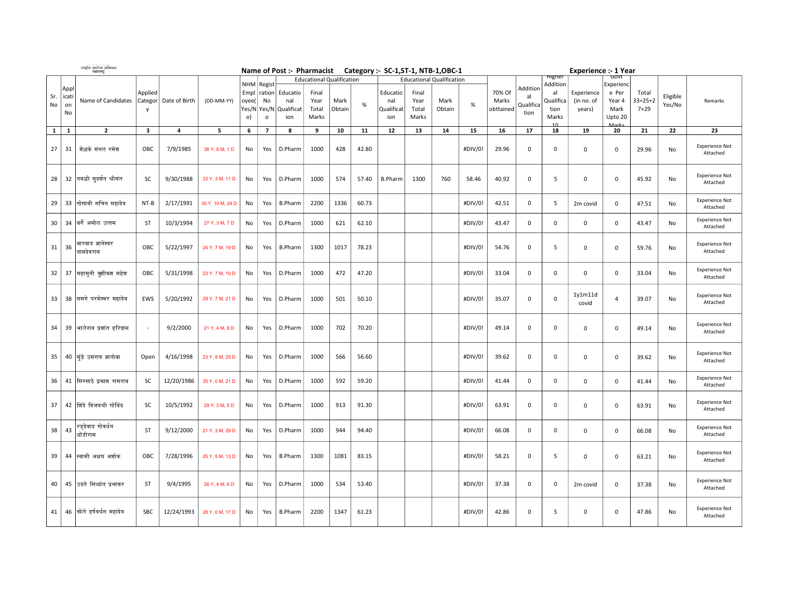|          |              | राष्ट्रीय आरोज्य अभियान<br>महाराष्ट्र        |            |                         |                  |           |                | Name of Post :- Pharmacist Category :- SC-1, ST-1, NTB-1, OBC-1 |                                  |        |       |                |       |                                  |         |           |              |               | <b>Experience :- 1 Year</b> |             |               |          |                                   |
|----------|--------------|----------------------------------------------|------------|-------------------------|------------------|-----------|----------------|-----------------------------------------------------------------|----------------------------------|--------|-------|----------------|-------|----------------------------------|---------|-----------|--------------|---------------|-----------------------------|-------------|---------------|----------|-----------------------------------|
|          |              |                                              |            |                         |                  |           |                |                                                                 | <b>Educational Qualification</b> |        |       |                |       | <b>Educational Qualification</b> |         |           |              | <b>Higher</b> |                             | ততথ         |               |          |                                   |
|          | Appl         |                                              |            |                         |                  |           | NHM Regist     |                                                                 |                                  |        |       |                |       |                                  |         |           | Addition     | Addition      |                             | Experienc   |               |          |                                   |
| Sr.      | icat         |                                              | Applied    |                         |                  | Empl      | ration         | Educatio                                                        | Final                            |        |       | Educatio       | Final |                                  |         | 70% Of    | al           | al            | Experience                  | e Per       | Total         | Eligible |                                   |
| No       | on           | Name of Candidates   Categor   Date of Birth |            |                         | (DD-MM-YY)       | oyee(     | No             | nal                                                             | Year                             | Mark   | $\%$  | nal            | Year  | Mark                             | %       | Marks     | Qualifica    | Qualifica     | (in no. of                  | Year 4      | $33 = 25 + 2$ | Yes/No   | Remarks                           |
|          | No           |                                              | y          |                         |                  |           |                | Yes/N Yes/N Qualificat                                          | Total                            | Obtain |       | Qualificat     | Total | Obtain                           |         | obttained | tion         | tion          | years)                      | Mark        | $7 + 29$      |          |                                   |
|          |              |                                              |            |                         |                  | $\circ)$  | $\circ$        | ion                                                             | Marks                            |        |       | ion            | Marks |                                  |         |           |              | Marks         |                             | Upto 20     |               |          |                                   |
|          |              | $\overline{\mathbf{2}}$                      |            |                         |                  |           |                |                                                                 |                                  |        |       |                |       |                                  |         |           | 17           | 10            |                             | Marks       |               |          |                                   |
| $1 \mid$ | $\mathbf{1}$ |                                              | 3          | $\overline{\mathbf{4}}$ | 5                | 6         | $\overline{7}$ | 8                                                               | 9                                | 10     | 11    | 12             | 13    | 14                               | 15      | 16        |              | 18            | 19                          | 20          | 21            | 22       | 23                                |
| 27       | 31           | शेळके मंगल रमेश                              | OBC        | 7/9/1985                | 36 Y, 6 M, 1 D   | No        | Yes            | D.Pharm                                                         | 1000                             | 428    | 42.80 |                |       |                                  | #DIV/0! | 29.96     | 0            | 0             | 0                           | $\mathsf 0$ | 29.96         | No       | <b>Experience Not</b><br>Attached |
|          |              | 28   32  गवळी सुदर्शन श्रीमंत                | SC         | 9/30/1988               | 33 Y, 3 M, 11 D  | No        | Yes            | D.Pharm                                                         | 1000                             | 574    | 57.40 | <b>B.Pharm</b> | 1300  | 760                              | 58.46   | 40.92     | 0            | 5             | 0                           | 0           | 45.92         | No       | <b>Experience Not</b><br>Attached |
| 29       | 33           | गोसावी सचिन महादेव                           | NT-B       | 2/17/1991               | 30 Y, 10 M, 24 D | No        | Yes            | <b>B.Pharm</b>                                                  | 2200                             | 1336   | 60.73 |                |       |                                  | #DIV/0! | 42.51     | $\mathbf 0$  | 5             | 2m covid                    | $\mathbf 0$ | 47.51         | No       | <b>Experience Not</b><br>Attached |
|          |              |                                              |            |                         |                  |           |                |                                                                 |                                  |        |       |                |       |                                  |         |           |              |               |                             |             |               |          | <b>Experience Not</b>             |
| 30       |              | 34  बर्गे अमोल उत्तम                         | ST         | 10/3/1994               | 27 Y, 3 M, 7 D   | No        | Yes            | D.Pharm                                                         | 1000                             | 621    | 62.10 |                |       |                                  | #DIV/0! | 43.47     | 0            | 0             | 0                           | 0           | 43.47         | No       | Attached                          |
|          |              | बारवाड ज्ञानेश्वर                            |            |                         |                  |           |                |                                                                 |                                  |        |       |                |       |                                  |         |           |              |               |                             |             |               |          | <b>Experience Not</b>             |
| 31       | 36           | नामदेवराव                                    | OBC        | 5/22/1997               | 24 Y, 7 M, 19 D  | No        | Yes            | <b>B.Pharm</b>                                                  | 1300                             | 1017   | 78.23 |                |       |                                  | #DIV/0! | 54.76     | $\mathsf 0$  | 5             | 0                           | $\mathsf 0$ | 59.76         | No       | Attached                          |
|          |              |                                              |            |                         |                  |           |                |                                                                 |                                  |        |       |                |       |                                  |         |           |              |               |                             |             |               |          |                                   |
|          |              | 32 37 महामूनी ऋषीकश महेश                     | OBC        | 5/31/1998               | 23 Y, 7 M, 10 D  | No        | Yes            | D.Pharm                                                         | 1000                             | 472    | 47.20 |                |       |                                  | #DIV/0! | 33.04     | 0            | 0             | 0                           | 0           | 33.04         | No       | <b>Experience Not</b><br>Attached |
| 33       |              | 38 सिमगे परमेश्वर महादेव                     | EWS        | 5/20/1992               | 29 Y, 7 M, 21 D  | No        | Yes            | D.Pharm                                                         | 1000                             | 501    | 50.10 |                |       |                                  | #DIV/0! | 35.07     | 0            | $\mathsf 0$   | 1y1m11d<br>covid            | 4           | 39.07         | No       | <b>Experience Not</b><br>Attached |
|          |              |                                              |            |                         |                  |           |                |                                                                 |                                  |        |       |                |       |                                  |         |           |              |               |                             |             |               |          |                                   |
| 34       |              | 39  भालेराव प्रशांत हरिदास                   |            | 9/2/2000                | 21 Y, 4 M, 8 D   | No        | Yes            | D.Pharm                                                         | 1000                             | 702    | 70.20 |                |       |                                  | #DIV/0! | 49.14     | 0            | $\mathbf 0$   | 0                           | $\mathbf 0$ | 49.14         | No       | <b>Experience Not</b>             |
|          |              |                                              |            |                         |                  |           |                |                                                                 |                                  |        |       |                |       |                                  |         |           |              |               |                             |             |               |          | Attached                          |
| 35       | 40           | मुंढे उमराव ज्ञानोबा                         | Open       | 4/16/1998               | 23 Y, 8 M, 25 D  | No        | Yes            | D.Pharm                                                         | 1000                             | 566    | 56.60 |                |       |                                  | #DIV/0! | 39.62     | 0            | 0             | 0                           | $\mathsf 0$ | 39.62         | No       | <b>Experience Not</b><br>Attached |
|          |              |                                              |            |                         |                  |           |                |                                                                 |                                  |        |       |                |       |                                  |         |           |              |               |                             |             |               |          | <b>Experience Not</b>             |
| 36       |              | 41 सिरसाठे प्रकाश रामराव                     | SC         | 12/20/1986              | 35 Y, 0 M, 21 D  | No        | Yes            | D.Pharm                                                         | 1000                             | 592    | 59.20 |                |       |                                  | #DIV/0! | 41.44     | 0            | 0             | 0                           | 0           | 41.44         | No       | Attached                          |
| 37       |              | 42 शिंदे विजयश्री गोविंद                     | SC         | 10/5/1992               | 29 Y, 3 M, 5 D   | No        | Yes            | D.Pharm                                                         | 1000                             | 913    | 91.30 |                |       |                                  | #DIV/0! | 63.91     | 0            | 0             | 0                           | $\mathbf 0$ | 63.91         | No       | <b>Experience Not</b>             |
|          |              |                                              |            |                         |                  |           |                |                                                                 |                                  |        |       |                |       |                                  |         |           |              |               |                             |             |               |          | Attached                          |
| 38       | 43           | रडडेवाड गोवर्धन<br>धोंडीराम                  | ST         | 9/12/2000               | 21 Y, 3 M, 29 D  | No        | Yes            | D.Pharm                                                         | 1000                             | 944    | 94.40 |                |       |                                  | #DIV/0! | 66.08     | 0            | 0             | 0                           | 0           | 66.08         | No       | <b>Experience Not</b><br>Attached |
| 39       |              | 44 स्वामी अक्षय अशोक                         | OBC        | 7/28/1996               | 25 Y, 5 M, 13 D  | No        | Yes            | <b>B.Pharm</b>                                                  | 1300                             | 1081   | 83.15 |                |       |                                  | #DIV/0! | 58.21     | 0            | 5             | 0                           | 0           | 63.21         | No       | <b>Experience Not</b><br>Attached |
| 40       | 45           | उडते सिध्दांत प्रभाकर                        | ST         | 9/4/1995                | 26 Y, 4 M, 6 D   | No        | Yes            | D.Pharm                                                         | 1000                             | 534    | 53.40 |                |       |                                  | #DIV/0! | 37.38     | 0            | 0             | 2m covid                    | 0           | 37.38         | No       | <b>Experience Not</b><br>Attached |
| 41       |              | 46 कोले हर्षवर्धन महादेव                     | <b>SBC</b> | 12/24/1993              | 28 Y, 0 M, 17 D  | <b>No</b> | Yes            | B.Pharm                                                         | 2200                             | 1347   | 61.23 |                |       |                                  | #DIV/0! | 42.86     | $\mathbf{0}$ | 5             | 0                           | $\mathbf 0$ | 47.86         | No       | <b>Experience Not</b>             |
|          |              |                                              |            |                         |                  |           |                |                                                                 |                                  |        |       |                |       |                                  |         |           |              |               |                             |             |               |          | Attached                          |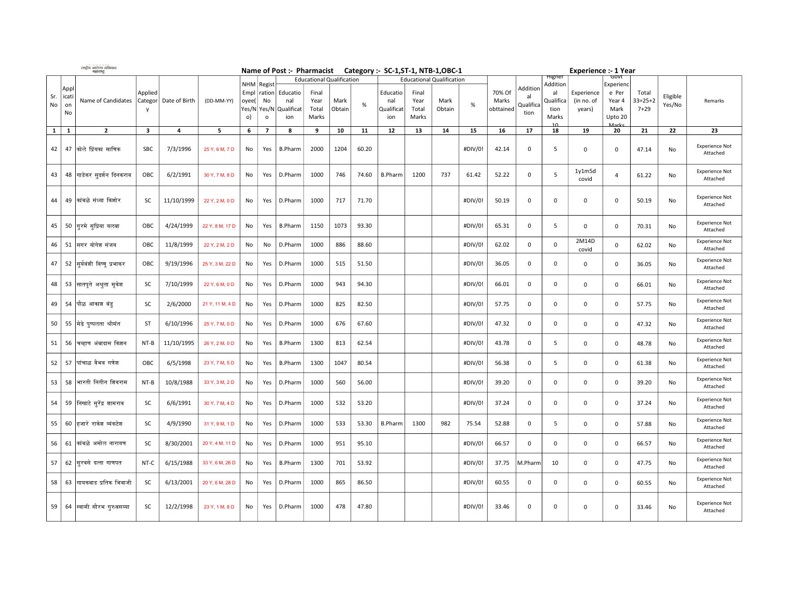| <b>Educational Qualification</b><br><b>Educational Qualification</b><br>Addition<br>NHM Regist<br>Experienc<br>Addition<br>Appl<br>70% Of<br>Educatio<br>Applied<br>Empl<br>ration<br>Educatio<br>Final<br>Final<br>Experience<br>e Per<br>Total<br>al<br>Sr.<br>icat<br>Eligible<br>al<br>$33 = 25 + 2$<br>Name of Candidates<br>Date of Birth<br>(DD-MM-YY)<br>Qualifica<br>Categor<br>No<br>Year<br>Mark<br>Year<br>Mark<br>Marks<br>(in no. of<br>Year 4<br>Remarks<br>oyee<br>nal<br>nal<br>$\%$<br>$\%$<br>Qualifica<br>No<br>Yes/No<br>on<br>Obtain<br>Qualificat<br>Qualificat<br>Total<br>Obtain<br>obttained<br>$7 + 29$<br>Yes/N<br>Yes/N<br>Total<br>tion<br>years)<br>Mark<br><b>y</b><br>No<br>tion<br>Marks<br>ion<br>Marks<br>Marks<br>Upto 20<br>$\circ)$<br>ion<br>$\circ$<br>10<br>Marks<br>$\overline{2}$<br>5<br>13<br>14<br>15<br>17<br>19<br>22<br>23<br>$\mathbf{1}$<br>1<br>3<br>4<br>6<br>$\overline{7}$<br>8<br>9<br>10<br>11<br>12<br>16<br>18<br>20<br>21<br><b>Experience Not</b><br>कोले प्रिंयका माणिक<br>42<br>47<br>SBC<br>7/3/1996<br>25 Y, 6 M, 7 D<br><b>B.Pharm</b><br>2000<br>1204<br>60.20<br>#DIV/0!<br>42.14<br>$\mathsf 0$<br>5<br>0<br>No<br>Yes<br>0<br>47.14<br>No<br>Attached<br>1y1m5d<br><b>Experience Not</b><br>48  गाडेकर सुदर्शन दिनकराव<br>6/2/1991<br>737<br>52.22<br>0<br>5<br>43<br>OBC<br>30 Y, 7 M, 8 D<br>No<br>Yes<br>D.Pharm<br>1000<br>746<br>74.60<br><b>B.Pharm</b><br>1200<br>61.42<br>4<br>61.22<br>No<br>Attached<br>covid<br><b>Experience Not</b><br>कांबळे संध्या किशोर<br>11/10/1999<br>44<br>49<br>SC<br>22 Y, 2 M, 0 D<br><b>No</b><br>Yes<br>D.Pharm<br>1000<br>717<br>71.70<br>#DIV/0!<br>50.19<br>0<br>$\Omega$<br>0<br>$\mathbf 0$<br>50.19<br>No<br>Attached<br><b>Experience Not</b><br>गरमे सुप्रिया यलबा<br>50<br>4/24/1999<br>5<br>45<br>OBC<br>22 Y, 8 M, 17 D<br>No<br>Yes<br><b>B.Pharm</b><br>1150<br>1073<br>93.30<br>#DIV/0!<br>65.31<br>$\mathbf{0}$<br>0<br>$\mathbf 0$<br>70.31<br>No<br>Attached<br>2M14D<br><b>Experience Not</b><br>51 सिगर योगेश संजय<br>OBC<br>11/8/1999<br>22 Y, 2 M, 2 D<br>D.Pharm<br>1000<br>886<br>88.60<br>#DIV/0!<br>62.02<br>0<br>0<br>46<br>No<br>No<br>$\mathbf 0$<br>62.02<br>No<br>Attached<br>covid<br><b>Experience Not</b><br>52  सुर्यवंशी विष्णु प्रभाकर<br>9/19/1996<br>1000<br>51.50<br>0<br>47<br>OBC<br>25 Y, 3 M, 22 D<br>D.Pharm<br>515<br>#DIV/0!<br>36.05<br>0<br>No<br>Yes<br>0<br>$\mathbf 0$<br>36.05<br>No<br>Attached<br><b>Experience Not</b><br>53 सातपते अश्रुता मुकेश<br>SC<br>7/10/1999<br>1000<br>943<br>94.30<br>#DIV/0!<br>66.01<br>0<br>0<br>48<br>22 Y, 6 M, 0 D<br>No<br>Yes<br>D.Pharm<br>0<br>$\mathbf 0$<br>66.01<br>No<br>Attached<br><b>Experience Not</b><br>54  पौळ आकाश बंड्<br>SC<br>2/6/2000<br>21 Y, 11 M, 4 D<br>1000<br>#DIV/0!<br>0<br>0<br>49<br>No<br>Yes<br>D.Pharm<br>825<br>82.50<br>57.75<br>0<br>$\mathbf 0$<br>57.75<br>No<br>Attached<br><b>Experience Not</b><br>55 मिढे पुष्पलता श्रीमंत<br>6/10/1996<br>50<br>ST<br>25 Y, 7 M, 0 D<br>No<br>Yes<br>D.Pharm<br>1000<br>676<br>67.60<br>#DIV/0!<br>47.32<br>0<br>0<br>0<br>0<br>47.32<br>No<br>Attached<br><b>Experience Not</b><br>चव्हाण अंबादास किशन<br>56<br>11/10/1995<br>62.54<br>5<br>0<br>51<br>$NT-B$<br>26 Y, 2 M, 0 D<br>No<br>Yes<br><b>B.Pharm</b><br>1300<br>813<br>#DIV/0!<br>43.78<br>0<br>$\mathbf 0$<br>48.78<br>No<br>Attached<br><b>Experience Not</b><br>57<br>पांचाळ वैभव गणेश<br>6/5/1998<br>80.54<br>#DIV/0!<br>0<br>5<br>52<br>OBC<br>1300<br>1047<br>56.38<br>23 Y, 7 M, 5 D<br>No<br>Yes<br>B.Pharm<br>0<br>$\mathbf 0$<br>61.38<br>No<br>Attached<br><b>Experience Not</b><br> भारती नितीन शिवराम<br>58<br>53<br>$NT-B$<br>10/8/1988<br>33 Y, 3 M, 2 D<br>D.Pharm<br>1000<br>560<br>56.00<br>#DIV/0!<br>39.20<br>0<br>0<br>0<br>$\mathbf 0$<br>No<br>Yes<br>39.20<br>No<br>Attached<br><b>Experience Not</b><br>59 निखाटे सुरेंद्र शामराव<br>6/6/1991<br>0<br>0<br>54<br>SC<br>30 Y, 7 M, 4 D<br>No<br>Yes<br>D.Pharm<br>1000<br>532<br>53.20<br>#DIV/0!<br>37.24<br>0<br>0<br>37.24<br>No<br>Attached<br><b>Experience Not</b><br>SC<br>4/9/1990<br>982<br>55<br>60<br> हजारे राकेश व्यंकटेश<br>1000<br>533<br>53.30<br><b>B.Pharm</b><br>1300<br>75.54<br>52.88<br>0<br>5<br>31 Y, 9 M, 1 D<br>No<br>Yes<br>D.Pharm<br>0<br>$\mathbf 0$<br>57.88<br>No<br>Attached<br><b>Experience Not</b><br> कांबळे अमोल नारायण<br>56<br>61<br>SC<br>8/30/2001<br>20 Y, 4 M, 11 D<br>D.Pharm<br>1000<br>951<br>#DIV/0!<br>0<br>0<br>0<br>$\mathbf 0$<br>No<br>Yes<br>95.10<br>66.57<br>66.57<br>No<br>Attached<br><b>Experience Not</b><br>62<br>सिरवसे दत्ता गाणपत<br>6/15/1988<br>1300<br>701<br>#DIV/0!<br>57<br>NT-C<br>33 Y, 6 M, 26 D<br><b>B.Pharm</b><br>53.92<br>37.75<br>No<br>Yes<br>M.Pharm<br>10<br>0<br>0<br>47.75<br>No<br>Attached<br><b>Experience Not</b><br>∣गायकवाड प्रतिक भिवाजी<br>SC<br>6/13/2001<br>D.Pharm<br>1000<br>#DIV/0!<br>0<br>0<br>0<br>58<br>63<br>20 Y, 6 M, 28 D<br>865<br>86.50<br>60.55<br>0<br>60.55<br>No<br>Yes<br>No<br>Attached<br><b>Experience Not</b><br>59   64  स्वामी सौरभ गुरुबसय्या<br>SC<br>12/2/1998<br>23 Y, 1 M, 8 D<br>D.Pharm<br>1000<br>478<br>47.80<br>#DIV/0!<br>0<br>0<br>$\mathbf 0$<br>No<br>Yes<br>33.46<br>0<br>33.46<br>No<br>Attached |  | राष्ट्रीय आरोज्य अभियान<br>महाराष्ट्र |  |  | Name of Post :- Pharmacist Category :- SC-1, ST-1, NTB-1, OBC-1 |  |  |  |  |        | <b>Experience :- 1 Year</b> |     |  |  |
|-------------------------------------------------------------------------------------------------------------------------------------------------------------------------------------------------------------------------------------------------------------------------------------------------------------------------------------------------------------------------------------------------------------------------------------------------------------------------------------------------------------------------------------------------------------------------------------------------------------------------------------------------------------------------------------------------------------------------------------------------------------------------------------------------------------------------------------------------------------------------------------------------------------------------------------------------------------------------------------------------------------------------------------------------------------------------------------------------------------------------------------------------------------------------------------------------------------------------------------------------------------------------------------------------------------------------------------------------------------------------------------------------------------------------------------------------------------------------------------------------------------------------------------------------------------------------------------------------------------------------------------------------------------------------------------------------------------------------------------------------------------------------------------------------------------------------------------------------------------------------------------------------------------------------------------------------------------------------------------------------------------------------------------------------------------------------------------------------------------------------------------------------------------------------------------------------------------------------------------------------------------------------------------------------------------------------------------------------------------------------------------------------------------------------------------------------------------------------------------------------------------------------------------------------------------------------------------------------------------------------------------------------------------------------------------------------------------------------------------------------------------------------------------------------------------------------------------------------------------------------------------------------------------------------------------------------------------------------------------------------------------------------------------------------------------------------------------------------------------------------------------------------------------------------------------------------------------------------------------------------------------------------------------------------------------------------------------------------------------------------------------------------------------------------------------------------------------------------------------------------------------------------------------------------------------------------------------------------------------------------------------------------------------------------------------------------------------------------------------------------------------------------------------------------------------------------------------------------------------------------------------------------------------------------------------------------------------------------------------------------------------------------------------------------------------------------------------------------------------------------------------------------------------------------------------------------------------------------------------------------------------------------------------------------------------------------------------------------------------------------------------------------------------------------------------------------------------------------------------------------------------------------------------------------------------------------------------------------------------------------------------------------------------------------------------------------------------------------------------------------------------------------------------------------------------------------------------------------------------------------------------------------------------------------------------------------------------------------------------------------------------------------------------------------------------------------------------------------------------------------------------------------------------------------------------------------------------------------------------------------------------|--|---------------------------------------|--|--|-----------------------------------------------------------------|--|--|--|--|--------|-----------------------------|-----|--|--|
|                                                                                                                                                                                                                                                                                                                                                                                                                                                                                                                                                                                                                                                                                                                                                                                                                                                                                                                                                                                                                                                                                                                                                                                                                                                                                                                                                                                                                                                                                                                                                                                                                                                                                                                                                                                                                                                                                                                                                                                                                                                                                                                                                                                                                                                                                                                                                                                                                                                                                                                                                                                                                                                                                                                                                                                                                                                                                                                                                                                                                                                                                                                                                                                                                                                                                                                                                                                                                                                                                                                                                                                                                                                                                                                                                                                                                                                                                                                                                                                                                                                                                                                                                                                                                                                                                                                                                                                                                                                                                                                                                                                                                                                                                                                                                                                                                                                                                                                                                                                                                                                                                                                                                                                                                                                             |  |                                       |  |  |                                                                 |  |  |  |  | migner |                             | ততথ |  |  |
|                                                                                                                                                                                                                                                                                                                                                                                                                                                                                                                                                                                                                                                                                                                                                                                                                                                                                                                                                                                                                                                                                                                                                                                                                                                                                                                                                                                                                                                                                                                                                                                                                                                                                                                                                                                                                                                                                                                                                                                                                                                                                                                                                                                                                                                                                                                                                                                                                                                                                                                                                                                                                                                                                                                                                                                                                                                                                                                                                                                                                                                                                                                                                                                                                                                                                                                                                                                                                                                                                                                                                                                                                                                                                                                                                                                                                                                                                                                                                                                                                                                                                                                                                                                                                                                                                                                                                                                                                                                                                                                                                                                                                                                                                                                                                                                                                                                                                                                                                                                                                                                                                                                                                                                                                                                             |  |                                       |  |  |                                                                 |  |  |  |  |        |                             |     |  |  |
|                                                                                                                                                                                                                                                                                                                                                                                                                                                                                                                                                                                                                                                                                                                                                                                                                                                                                                                                                                                                                                                                                                                                                                                                                                                                                                                                                                                                                                                                                                                                                                                                                                                                                                                                                                                                                                                                                                                                                                                                                                                                                                                                                                                                                                                                                                                                                                                                                                                                                                                                                                                                                                                                                                                                                                                                                                                                                                                                                                                                                                                                                                                                                                                                                                                                                                                                                                                                                                                                                                                                                                                                                                                                                                                                                                                                                                                                                                                                                                                                                                                                                                                                                                                                                                                                                                                                                                                                                                                                                                                                                                                                                                                                                                                                                                                                                                                                                                                                                                                                                                                                                                                                                                                                                                                             |  |                                       |  |  |                                                                 |  |  |  |  |        |                             |     |  |  |
|                                                                                                                                                                                                                                                                                                                                                                                                                                                                                                                                                                                                                                                                                                                                                                                                                                                                                                                                                                                                                                                                                                                                                                                                                                                                                                                                                                                                                                                                                                                                                                                                                                                                                                                                                                                                                                                                                                                                                                                                                                                                                                                                                                                                                                                                                                                                                                                                                                                                                                                                                                                                                                                                                                                                                                                                                                                                                                                                                                                                                                                                                                                                                                                                                                                                                                                                                                                                                                                                                                                                                                                                                                                                                                                                                                                                                                                                                                                                                                                                                                                                                                                                                                                                                                                                                                                                                                                                                                                                                                                                                                                                                                                                                                                                                                                                                                                                                                                                                                                                                                                                                                                                                                                                                                                             |  |                                       |  |  |                                                                 |  |  |  |  |        |                             |     |  |  |
|                                                                                                                                                                                                                                                                                                                                                                                                                                                                                                                                                                                                                                                                                                                                                                                                                                                                                                                                                                                                                                                                                                                                                                                                                                                                                                                                                                                                                                                                                                                                                                                                                                                                                                                                                                                                                                                                                                                                                                                                                                                                                                                                                                                                                                                                                                                                                                                                                                                                                                                                                                                                                                                                                                                                                                                                                                                                                                                                                                                                                                                                                                                                                                                                                                                                                                                                                                                                                                                                                                                                                                                                                                                                                                                                                                                                                                                                                                                                                                                                                                                                                                                                                                                                                                                                                                                                                                                                                                                                                                                                                                                                                                                                                                                                                                                                                                                                                                                                                                                                                                                                                                                                                                                                                                                             |  |                                       |  |  |                                                                 |  |  |  |  |        |                             |     |  |  |
|                                                                                                                                                                                                                                                                                                                                                                                                                                                                                                                                                                                                                                                                                                                                                                                                                                                                                                                                                                                                                                                                                                                                                                                                                                                                                                                                                                                                                                                                                                                                                                                                                                                                                                                                                                                                                                                                                                                                                                                                                                                                                                                                                                                                                                                                                                                                                                                                                                                                                                                                                                                                                                                                                                                                                                                                                                                                                                                                                                                                                                                                                                                                                                                                                                                                                                                                                                                                                                                                                                                                                                                                                                                                                                                                                                                                                                                                                                                                                                                                                                                                                                                                                                                                                                                                                                                                                                                                                                                                                                                                                                                                                                                                                                                                                                                                                                                                                                                                                                                                                                                                                                                                                                                                                                                             |  |                                       |  |  |                                                                 |  |  |  |  |        |                             |     |  |  |
|                                                                                                                                                                                                                                                                                                                                                                                                                                                                                                                                                                                                                                                                                                                                                                                                                                                                                                                                                                                                                                                                                                                                                                                                                                                                                                                                                                                                                                                                                                                                                                                                                                                                                                                                                                                                                                                                                                                                                                                                                                                                                                                                                                                                                                                                                                                                                                                                                                                                                                                                                                                                                                                                                                                                                                                                                                                                                                                                                                                                                                                                                                                                                                                                                                                                                                                                                                                                                                                                                                                                                                                                                                                                                                                                                                                                                                                                                                                                                                                                                                                                                                                                                                                                                                                                                                                                                                                                                                                                                                                                                                                                                                                                                                                                                                                                                                                                                                                                                                                                                                                                                                                                                                                                                                                             |  |                                       |  |  |                                                                 |  |  |  |  |        |                             |     |  |  |
|                                                                                                                                                                                                                                                                                                                                                                                                                                                                                                                                                                                                                                                                                                                                                                                                                                                                                                                                                                                                                                                                                                                                                                                                                                                                                                                                                                                                                                                                                                                                                                                                                                                                                                                                                                                                                                                                                                                                                                                                                                                                                                                                                                                                                                                                                                                                                                                                                                                                                                                                                                                                                                                                                                                                                                                                                                                                                                                                                                                                                                                                                                                                                                                                                                                                                                                                                                                                                                                                                                                                                                                                                                                                                                                                                                                                                                                                                                                                                                                                                                                                                                                                                                                                                                                                                                                                                                                                                                                                                                                                                                                                                                                                                                                                                                                                                                                                                                                                                                                                                                                                                                                                                                                                                                                             |  |                                       |  |  |                                                                 |  |  |  |  |        |                             |     |  |  |
|                                                                                                                                                                                                                                                                                                                                                                                                                                                                                                                                                                                                                                                                                                                                                                                                                                                                                                                                                                                                                                                                                                                                                                                                                                                                                                                                                                                                                                                                                                                                                                                                                                                                                                                                                                                                                                                                                                                                                                                                                                                                                                                                                                                                                                                                                                                                                                                                                                                                                                                                                                                                                                                                                                                                                                                                                                                                                                                                                                                                                                                                                                                                                                                                                                                                                                                                                                                                                                                                                                                                                                                                                                                                                                                                                                                                                                                                                                                                                                                                                                                                                                                                                                                                                                                                                                                                                                                                                                                                                                                                                                                                                                                                                                                                                                                                                                                                                                                                                                                                                                                                                                                                                                                                                                                             |  |                                       |  |  |                                                                 |  |  |  |  |        |                             |     |  |  |
|                                                                                                                                                                                                                                                                                                                                                                                                                                                                                                                                                                                                                                                                                                                                                                                                                                                                                                                                                                                                                                                                                                                                                                                                                                                                                                                                                                                                                                                                                                                                                                                                                                                                                                                                                                                                                                                                                                                                                                                                                                                                                                                                                                                                                                                                                                                                                                                                                                                                                                                                                                                                                                                                                                                                                                                                                                                                                                                                                                                                                                                                                                                                                                                                                                                                                                                                                                                                                                                                                                                                                                                                                                                                                                                                                                                                                                                                                                                                                                                                                                                                                                                                                                                                                                                                                                                                                                                                                                                                                                                                                                                                                                                                                                                                                                                                                                                                                                                                                                                                                                                                                                                                                                                                                                                             |  |                                       |  |  |                                                                 |  |  |  |  |        |                             |     |  |  |
|                                                                                                                                                                                                                                                                                                                                                                                                                                                                                                                                                                                                                                                                                                                                                                                                                                                                                                                                                                                                                                                                                                                                                                                                                                                                                                                                                                                                                                                                                                                                                                                                                                                                                                                                                                                                                                                                                                                                                                                                                                                                                                                                                                                                                                                                                                                                                                                                                                                                                                                                                                                                                                                                                                                                                                                                                                                                                                                                                                                                                                                                                                                                                                                                                                                                                                                                                                                                                                                                                                                                                                                                                                                                                                                                                                                                                                                                                                                                                                                                                                                                                                                                                                                                                                                                                                                                                                                                                                                                                                                                                                                                                                                                                                                                                                                                                                                                                                                                                                                                                                                                                                                                                                                                                                                             |  |                                       |  |  |                                                                 |  |  |  |  |        |                             |     |  |  |
|                                                                                                                                                                                                                                                                                                                                                                                                                                                                                                                                                                                                                                                                                                                                                                                                                                                                                                                                                                                                                                                                                                                                                                                                                                                                                                                                                                                                                                                                                                                                                                                                                                                                                                                                                                                                                                                                                                                                                                                                                                                                                                                                                                                                                                                                                                                                                                                                                                                                                                                                                                                                                                                                                                                                                                                                                                                                                                                                                                                                                                                                                                                                                                                                                                                                                                                                                                                                                                                                                                                                                                                                                                                                                                                                                                                                                                                                                                                                                                                                                                                                                                                                                                                                                                                                                                                                                                                                                                                                                                                                                                                                                                                                                                                                                                                                                                                                                                                                                                                                                                                                                                                                                                                                                                                             |  |                                       |  |  |                                                                 |  |  |  |  |        |                             |     |  |  |
|                                                                                                                                                                                                                                                                                                                                                                                                                                                                                                                                                                                                                                                                                                                                                                                                                                                                                                                                                                                                                                                                                                                                                                                                                                                                                                                                                                                                                                                                                                                                                                                                                                                                                                                                                                                                                                                                                                                                                                                                                                                                                                                                                                                                                                                                                                                                                                                                                                                                                                                                                                                                                                                                                                                                                                                                                                                                                                                                                                                                                                                                                                                                                                                                                                                                                                                                                                                                                                                                                                                                                                                                                                                                                                                                                                                                                                                                                                                                                                                                                                                                                                                                                                                                                                                                                                                                                                                                                                                                                                                                                                                                                                                                                                                                                                                                                                                                                                                                                                                                                                                                                                                                                                                                                                                             |  |                                       |  |  |                                                                 |  |  |  |  |        |                             |     |  |  |
|                                                                                                                                                                                                                                                                                                                                                                                                                                                                                                                                                                                                                                                                                                                                                                                                                                                                                                                                                                                                                                                                                                                                                                                                                                                                                                                                                                                                                                                                                                                                                                                                                                                                                                                                                                                                                                                                                                                                                                                                                                                                                                                                                                                                                                                                                                                                                                                                                                                                                                                                                                                                                                                                                                                                                                                                                                                                                                                                                                                                                                                                                                                                                                                                                                                                                                                                                                                                                                                                                                                                                                                                                                                                                                                                                                                                                                                                                                                                                                                                                                                                                                                                                                                                                                                                                                                                                                                                                                                                                                                                                                                                                                                                                                                                                                                                                                                                                                                                                                                                                                                                                                                                                                                                                                                             |  |                                       |  |  |                                                                 |  |  |  |  |        |                             |     |  |  |
|                                                                                                                                                                                                                                                                                                                                                                                                                                                                                                                                                                                                                                                                                                                                                                                                                                                                                                                                                                                                                                                                                                                                                                                                                                                                                                                                                                                                                                                                                                                                                                                                                                                                                                                                                                                                                                                                                                                                                                                                                                                                                                                                                                                                                                                                                                                                                                                                                                                                                                                                                                                                                                                                                                                                                                                                                                                                                                                                                                                                                                                                                                                                                                                                                                                                                                                                                                                                                                                                                                                                                                                                                                                                                                                                                                                                                                                                                                                                                                                                                                                                                                                                                                                                                                                                                                                                                                                                                                                                                                                                                                                                                                                                                                                                                                                                                                                                                                                                                                                                                                                                                                                                                                                                                                                             |  |                                       |  |  |                                                                 |  |  |  |  |        |                             |     |  |  |
|                                                                                                                                                                                                                                                                                                                                                                                                                                                                                                                                                                                                                                                                                                                                                                                                                                                                                                                                                                                                                                                                                                                                                                                                                                                                                                                                                                                                                                                                                                                                                                                                                                                                                                                                                                                                                                                                                                                                                                                                                                                                                                                                                                                                                                                                                                                                                                                                                                                                                                                                                                                                                                                                                                                                                                                                                                                                                                                                                                                                                                                                                                                                                                                                                                                                                                                                                                                                                                                                                                                                                                                                                                                                                                                                                                                                                                                                                                                                                                                                                                                                                                                                                                                                                                                                                                                                                                                                                                                                                                                                                                                                                                                                                                                                                                                                                                                                                                                                                                                                                                                                                                                                                                                                                                                             |  |                                       |  |  |                                                                 |  |  |  |  |        |                             |     |  |  |
|                                                                                                                                                                                                                                                                                                                                                                                                                                                                                                                                                                                                                                                                                                                                                                                                                                                                                                                                                                                                                                                                                                                                                                                                                                                                                                                                                                                                                                                                                                                                                                                                                                                                                                                                                                                                                                                                                                                                                                                                                                                                                                                                                                                                                                                                                                                                                                                                                                                                                                                                                                                                                                                                                                                                                                                                                                                                                                                                                                                                                                                                                                                                                                                                                                                                                                                                                                                                                                                                                                                                                                                                                                                                                                                                                                                                                                                                                                                                                                                                                                                                                                                                                                                                                                                                                                                                                                                                                                                                                                                                                                                                                                                                                                                                                                                                                                                                                                                                                                                                                                                                                                                                                                                                                                                             |  |                                       |  |  |                                                                 |  |  |  |  |        |                             |     |  |  |
|                                                                                                                                                                                                                                                                                                                                                                                                                                                                                                                                                                                                                                                                                                                                                                                                                                                                                                                                                                                                                                                                                                                                                                                                                                                                                                                                                                                                                                                                                                                                                                                                                                                                                                                                                                                                                                                                                                                                                                                                                                                                                                                                                                                                                                                                                                                                                                                                                                                                                                                                                                                                                                                                                                                                                                                                                                                                                                                                                                                                                                                                                                                                                                                                                                                                                                                                                                                                                                                                                                                                                                                                                                                                                                                                                                                                                                                                                                                                                                                                                                                                                                                                                                                                                                                                                                                                                                                                                                                                                                                                                                                                                                                                                                                                                                                                                                                                                                                                                                                                                                                                                                                                                                                                                                                             |  |                                       |  |  |                                                                 |  |  |  |  |        |                             |     |  |  |
|                                                                                                                                                                                                                                                                                                                                                                                                                                                                                                                                                                                                                                                                                                                                                                                                                                                                                                                                                                                                                                                                                                                                                                                                                                                                                                                                                                                                                                                                                                                                                                                                                                                                                                                                                                                                                                                                                                                                                                                                                                                                                                                                                                                                                                                                                                                                                                                                                                                                                                                                                                                                                                                                                                                                                                                                                                                                                                                                                                                                                                                                                                                                                                                                                                                                                                                                                                                                                                                                                                                                                                                                                                                                                                                                                                                                                                                                                                                                                                                                                                                                                                                                                                                                                                                                                                                                                                                                                                                                                                                                                                                                                                                                                                                                                                                                                                                                                                                                                                                                                                                                                                                                                                                                                                                             |  |                                       |  |  |                                                                 |  |  |  |  |        |                             |     |  |  |
|                                                                                                                                                                                                                                                                                                                                                                                                                                                                                                                                                                                                                                                                                                                                                                                                                                                                                                                                                                                                                                                                                                                                                                                                                                                                                                                                                                                                                                                                                                                                                                                                                                                                                                                                                                                                                                                                                                                                                                                                                                                                                                                                                                                                                                                                                                                                                                                                                                                                                                                                                                                                                                                                                                                                                                                                                                                                                                                                                                                                                                                                                                                                                                                                                                                                                                                                                                                                                                                                                                                                                                                                                                                                                                                                                                                                                                                                                                                                                                                                                                                                                                                                                                                                                                                                                                                                                                                                                                                                                                                                                                                                                                                                                                                                                                                                                                                                                                                                                                                                                                                                                                                                                                                                                                                             |  |                                       |  |  |                                                                 |  |  |  |  |        |                             |     |  |  |
|                                                                                                                                                                                                                                                                                                                                                                                                                                                                                                                                                                                                                                                                                                                                                                                                                                                                                                                                                                                                                                                                                                                                                                                                                                                                                                                                                                                                                                                                                                                                                                                                                                                                                                                                                                                                                                                                                                                                                                                                                                                                                                                                                                                                                                                                                                                                                                                                                                                                                                                                                                                                                                                                                                                                                                                                                                                                                                                                                                                                                                                                                                                                                                                                                                                                                                                                                                                                                                                                                                                                                                                                                                                                                                                                                                                                                                                                                                                                                                                                                                                                                                                                                                                                                                                                                                                                                                                                                                                                                                                                                                                                                                                                                                                                                                                                                                                                                                                                                                                                                                                                                                                                                                                                                                                             |  |                                       |  |  |                                                                 |  |  |  |  |        |                             |     |  |  |
|                                                                                                                                                                                                                                                                                                                                                                                                                                                                                                                                                                                                                                                                                                                                                                                                                                                                                                                                                                                                                                                                                                                                                                                                                                                                                                                                                                                                                                                                                                                                                                                                                                                                                                                                                                                                                                                                                                                                                                                                                                                                                                                                                                                                                                                                                                                                                                                                                                                                                                                                                                                                                                                                                                                                                                                                                                                                                                                                                                                                                                                                                                                                                                                                                                                                                                                                                                                                                                                                                                                                                                                                                                                                                                                                                                                                                                                                                                                                                                                                                                                                                                                                                                                                                                                                                                                                                                                                                                                                                                                                                                                                                                                                                                                                                                                                                                                                                                                                                                                                                                                                                                                                                                                                                                                             |  |                                       |  |  |                                                                 |  |  |  |  |        |                             |     |  |  |
|                                                                                                                                                                                                                                                                                                                                                                                                                                                                                                                                                                                                                                                                                                                                                                                                                                                                                                                                                                                                                                                                                                                                                                                                                                                                                                                                                                                                                                                                                                                                                                                                                                                                                                                                                                                                                                                                                                                                                                                                                                                                                                                                                                                                                                                                                                                                                                                                                                                                                                                                                                                                                                                                                                                                                                                                                                                                                                                                                                                                                                                                                                                                                                                                                                                                                                                                                                                                                                                                                                                                                                                                                                                                                                                                                                                                                                                                                                                                                                                                                                                                                                                                                                                                                                                                                                                                                                                                                                                                                                                                                                                                                                                                                                                                                                                                                                                                                                                                                                                                                                                                                                                                                                                                                                                             |  |                                       |  |  |                                                                 |  |  |  |  |        |                             |     |  |  |
|                                                                                                                                                                                                                                                                                                                                                                                                                                                                                                                                                                                                                                                                                                                                                                                                                                                                                                                                                                                                                                                                                                                                                                                                                                                                                                                                                                                                                                                                                                                                                                                                                                                                                                                                                                                                                                                                                                                                                                                                                                                                                                                                                                                                                                                                                                                                                                                                                                                                                                                                                                                                                                                                                                                                                                                                                                                                                                                                                                                                                                                                                                                                                                                                                                                                                                                                                                                                                                                                                                                                                                                                                                                                                                                                                                                                                                                                                                                                                                                                                                                                                                                                                                                                                                                                                                                                                                                                                                                                                                                                                                                                                                                                                                                                                                                                                                                                                                                                                                                                                                                                                                                                                                                                                                                             |  |                                       |  |  |                                                                 |  |  |  |  |        |                             |     |  |  |
|                                                                                                                                                                                                                                                                                                                                                                                                                                                                                                                                                                                                                                                                                                                                                                                                                                                                                                                                                                                                                                                                                                                                                                                                                                                                                                                                                                                                                                                                                                                                                                                                                                                                                                                                                                                                                                                                                                                                                                                                                                                                                                                                                                                                                                                                                                                                                                                                                                                                                                                                                                                                                                                                                                                                                                                                                                                                                                                                                                                                                                                                                                                                                                                                                                                                                                                                                                                                                                                                                                                                                                                                                                                                                                                                                                                                                                                                                                                                                                                                                                                                                                                                                                                                                                                                                                                                                                                                                                                                                                                                                                                                                                                                                                                                                                                                                                                                                                                                                                                                                                                                                                                                                                                                                                                             |  |                                       |  |  |                                                                 |  |  |  |  |        |                             |     |  |  |
|                                                                                                                                                                                                                                                                                                                                                                                                                                                                                                                                                                                                                                                                                                                                                                                                                                                                                                                                                                                                                                                                                                                                                                                                                                                                                                                                                                                                                                                                                                                                                                                                                                                                                                                                                                                                                                                                                                                                                                                                                                                                                                                                                                                                                                                                                                                                                                                                                                                                                                                                                                                                                                                                                                                                                                                                                                                                                                                                                                                                                                                                                                                                                                                                                                                                                                                                                                                                                                                                                                                                                                                                                                                                                                                                                                                                                                                                                                                                                                                                                                                                                                                                                                                                                                                                                                                                                                                                                                                                                                                                                                                                                                                                                                                                                                                                                                                                                                                                                                                                                                                                                                                                                                                                                                                             |  |                                       |  |  |                                                                 |  |  |  |  |        |                             |     |  |  |
|                                                                                                                                                                                                                                                                                                                                                                                                                                                                                                                                                                                                                                                                                                                                                                                                                                                                                                                                                                                                                                                                                                                                                                                                                                                                                                                                                                                                                                                                                                                                                                                                                                                                                                                                                                                                                                                                                                                                                                                                                                                                                                                                                                                                                                                                                                                                                                                                                                                                                                                                                                                                                                                                                                                                                                                                                                                                                                                                                                                                                                                                                                                                                                                                                                                                                                                                                                                                                                                                                                                                                                                                                                                                                                                                                                                                                                                                                                                                                                                                                                                                                                                                                                                                                                                                                                                                                                                                                                                                                                                                                                                                                                                                                                                                                                                                                                                                                                                                                                                                                                                                                                                                                                                                                                                             |  |                                       |  |  |                                                                 |  |  |  |  |        |                             |     |  |  |
|                                                                                                                                                                                                                                                                                                                                                                                                                                                                                                                                                                                                                                                                                                                                                                                                                                                                                                                                                                                                                                                                                                                                                                                                                                                                                                                                                                                                                                                                                                                                                                                                                                                                                                                                                                                                                                                                                                                                                                                                                                                                                                                                                                                                                                                                                                                                                                                                                                                                                                                                                                                                                                                                                                                                                                                                                                                                                                                                                                                                                                                                                                                                                                                                                                                                                                                                                                                                                                                                                                                                                                                                                                                                                                                                                                                                                                                                                                                                                                                                                                                                                                                                                                                                                                                                                                                                                                                                                                                                                                                                                                                                                                                                                                                                                                                                                                                                                                                                                                                                                                                                                                                                                                                                                                                             |  |                                       |  |  |                                                                 |  |  |  |  |        |                             |     |  |  |
|                                                                                                                                                                                                                                                                                                                                                                                                                                                                                                                                                                                                                                                                                                                                                                                                                                                                                                                                                                                                                                                                                                                                                                                                                                                                                                                                                                                                                                                                                                                                                                                                                                                                                                                                                                                                                                                                                                                                                                                                                                                                                                                                                                                                                                                                                                                                                                                                                                                                                                                                                                                                                                                                                                                                                                                                                                                                                                                                                                                                                                                                                                                                                                                                                                                                                                                                                                                                                                                                                                                                                                                                                                                                                                                                                                                                                                                                                                                                                                                                                                                                                                                                                                                                                                                                                                                                                                                                                                                                                                                                                                                                                                                                                                                                                                                                                                                                                                                                                                                                                                                                                                                                                                                                                                                             |  |                                       |  |  |                                                                 |  |  |  |  |        |                             |     |  |  |
|                                                                                                                                                                                                                                                                                                                                                                                                                                                                                                                                                                                                                                                                                                                                                                                                                                                                                                                                                                                                                                                                                                                                                                                                                                                                                                                                                                                                                                                                                                                                                                                                                                                                                                                                                                                                                                                                                                                                                                                                                                                                                                                                                                                                                                                                                                                                                                                                                                                                                                                                                                                                                                                                                                                                                                                                                                                                                                                                                                                                                                                                                                                                                                                                                                                                                                                                                                                                                                                                                                                                                                                                                                                                                                                                                                                                                                                                                                                                                                                                                                                                                                                                                                                                                                                                                                                                                                                                                                                                                                                                                                                                                                                                                                                                                                                                                                                                                                                                                                                                                                                                                                                                                                                                                                                             |  |                                       |  |  |                                                                 |  |  |  |  |        |                             |     |  |  |
|                                                                                                                                                                                                                                                                                                                                                                                                                                                                                                                                                                                                                                                                                                                                                                                                                                                                                                                                                                                                                                                                                                                                                                                                                                                                                                                                                                                                                                                                                                                                                                                                                                                                                                                                                                                                                                                                                                                                                                                                                                                                                                                                                                                                                                                                                                                                                                                                                                                                                                                                                                                                                                                                                                                                                                                                                                                                                                                                                                                                                                                                                                                                                                                                                                                                                                                                                                                                                                                                                                                                                                                                                                                                                                                                                                                                                                                                                                                                                                                                                                                                                                                                                                                                                                                                                                                                                                                                                                                                                                                                                                                                                                                                                                                                                                                                                                                                                                                                                                                                                                                                                                                                                                                                                                                             |  |                                       |  |  |                                                                 |  |  |  |  |        |                             |     |  |  |
|                                                                                                                                                                                                                                                                                                                                                                                                                                                                                                                                                                                                                                                                                                                                                                                                                                                                                                                                                                                                                                                                                                                                                                                                                                                                                                                                                                                                                                                                                                                                                                                                                                                                                                                                                                                                                                                                                                                                                                                                                                                                                                                                                                                                                                                                                                                                                                                                                                                                                                                                                                                                                                                                                                                                                                                                                                                                                                                                                                                                                                                                                                                                                                                                                                                                                                                                                                                                                                                                                                                                                                                                                                                                                                                                                                                                                                                                                                                                                                                                                                                                                                                                                                                                                                                                                                                                                                                                                                                                                                                                                                                                                                                                                                                                                                                                                                                                                                                                                                                                                                                                                                                                                                                                                                                             |  |                                       |  |  |                                                                 |  |  |  |  |        |                             |     |  |  |
|                                                                                                                                                                                                                                                                                                                                                                                                                                                                                                                                                                                                                                                                                                                                                                                                                                                                                                                                                                                                                                                                                                                                                                                                                                                                                                                                                                                                                                                                                                                                                                                                                                                                                                                                                                                                                                                                                                                                                                                                                                                                                                                                                                                                                                                                                                                                                                                                                                                                                                                                                                                                                                                                                                                                                                                                                                                                                                                                                                                                                                                                                                                                                                                                                                                                                                                                                                                                                                                                                                                                                                                                                                                                                                                                                                                                                                                                                                                                                                                                                                                                                                                                                                                                                                                                                                                                                                                                                                                                                                                                                                                                                                                                                                                                                                                                                                                                                                                                                                                                                                                                                                                                                                                                                                                             |  |                                       |  |  |                                                                 |  |  |  |  |        |                             |     |  |  |
|                                                                                                                                                                                                                                                                                                                                                                                                                                                                                                                                                                                                                                                                                                                                                                                                                                                                                                                                                                                                                                                                                                                                                                                                                                                                                                                                                                                                                                                                                                                                                                                                                                                                                                                                                                                                                                                                                                                                                                                                                                                                                                                                                                                                                                                                                                                                                                                                                                                                                                                                                                                                                                                                                                                                                                                                                                                                                                                                                                                                                                                                                                                                                                                                                                                                                                                                                                                                                                                                                                                                                                                                                                                                                                                                                                                                                                                                                                                                                                                                                                                                                                                                                                                                                                                                                                                                                                                                                                                                                                                                                                                                                                                                                                                                                                                                                                                                                                                                                                                                                                                                                                                                                                                                                                                             |  |                                       |  |  |                                                                 |  |  |  |  |        |                             |     |  |  |
|                                                                                                                                                                                                                                                                                                                                                                                                                                                                                                                                                                                                                                                                                                                                                                                                                                                                                                                                                                                                                                                                                                                                                                                                                                                                                                                                                                                                                                                                                                                                                                                                                                                                                                                                                                                                                                                                                                                                                                                                                                                                                                                                                                                                                                                                                                                                                                                                                                                                                                                                                                                                                                                                                                                                                                                                                                                                                                                                                                                                                                                                                                                                                                                                                                                                                                                                                                                                                                                                                                                                                                                                                                                                                                                                                                                                                                                                                                                                                                                                                                                                                                                                                                                                                                                                                                                                                                                                                                                                                                                                                                                                                                                                                                                                                                                                                                                                                                                                                                                                                                                                                                                                                                                                                                                             |  |                                       |  |  |                                                                 |  |  |  |  |        |                             |     |  |  |
|                                                                                                                                                                                                                                                                                                                                                                                                                                                                                                                                                                                                                                                                                                                                                                                                                                                                                                                                                                                                                                                                                                                                                                                                                                                                                                                                                                                                                                                                                                                                                                                                                                                                                                                                                                                                                                                                                                                                                                                                                                                                                                                                                                                                                                                                                                                                                                                                                                                                                                                                                                                                                                                                                                                                                                                                                                                                                                                                                                                                                                                                                                                                                                                                                                                                                                                                                                                                                                                                                                                                                                                                                                                                                                                                                                                                                                                                                                                                                                                                                                                                                                                                                                                                                                                                                                                                                                                                                                                                                                                                                                                                                                                                                                                                                                                                                                                                                                                                                                                                                                                                                                                                                                                                                                                             |  |                                       |  |  |                                                                 |  |  |  |  |        |                             |     |  |  |
|                                                                                                                                                                                                                                                                                                                                                                                                                                                                                                                                                                                                                                                                                                                                                                                                                                                                                                                                                                                                                                                                                                                                                                                                                                                                                                                                                                                                                                                                                                                                                                                                                                                                                                                                                                                                                                                                                                                                                                                                                                                                                                                                                                                                                                                                                                                                                                                                                                                                                                                                                                                                                                                                                                                                                                                                                                                                                                                                                                                                                                                                                                                                                                                                                                                                                                                                                                                                                                                                                                                                                                                                                                                                                                                                                                                                                                                                                                                                                                                                                                                                                                                                                                                                                                                                                                                                                                                                                                                                                                                                                                                                                                                                                                                                                                                                                                                                                                                                                                                                                                                                                                                                                                                                                                                             |  |                                       |  |  |                                                                 |  |  |  |  |        |                             |     |  |  |
|                                                                                                                                                                                                                                                                                                                                                                                                                                                                                                                                                                                                                                                                                                                                                                                                                                                                                                                                                                                                                                                                                                                                                                                                                                                                                                                                                                                                                                                                                                                                                                                                                                                                                                                                                                                                                                                                                                                                                                                                                                                                                                                                                                                                                                                                                                                                                                                                                                                                                                                                                                                                                                                                                                                                                                                                                                                                                                                                                                                                                                                                                                                                                                                                                                                                                                                                                                                                                                                                                                                                                                                                                                                                                                                                                                                                                                                                                                                                                                                                                                                                                                                                                                                                                                                                                                                                                                                                                                                                                                                                                                                                                                                                                                                                                                                                                                                                                                                                                                                                                                                                                                                                                                                                                                                             |  |                                       |  |  |                                                                 |  |  |  |  |        |                             |     |  |  |
|                                                                                                                                                                                                                                                                                                                                                                                                                                                                                                                                                                                                                                                                                                                                                                                                                                                                                                                                                                                                                                                                                                                                                                                                                                                                                                                                                                                                                                                                                                                                                                                                                                                                                                                                                                                                                                                                                                                                                                                                                                                                                                                                                                                                                                                                                                                                                                                                                                                                                                                                                                                                                                                                                                                                                                                                                                                                                                                                                                                                                                                                                                                                                                                                                                                                                                                                                                                                                                                                                                                                                                                                                                                                                                                                                                                                                                                                                                                                                                                                                                                                                                                                                                                                                                                                                                                                                                                                                                                                                                                                                                                                                                                                                                                                                                                                                                                                                                                                                                                                                                                                                                                                                                                                                                                             |  |                                       |  |  |                                                                 |  |  |  |  |        |                             |     |  |  |
|                                                                                                                                                                                                                                                                                                                                                                                                                                                                                                                                                                                                                                                                                                                                                                                                                                                                                                                                                                                                                                                                                                                                                                                                                                                                                                                                                                                                                                                                                                                                                                                                                                                                                                                                                                                                                                                                                                                                                                                                                                                                                                                                                                                                                                                                                                                                                                                                                                                                                                                                                                                                                                                                                                                                                                                                                                                                                                                                                                                                                                                                                                                                                                                                                                                                                                                                                                                                                                                                                                                                                                                                                                                                                                                                                                                                                                                                                                                                                                                                                                                                                                                                                                                                                                                                                                                                                                                                                                                                                                                                                                                                                                                                                                                                                                                                                                                                                                                                                                                                                                                                                                                                                                                                                                                             |  |                                       |  |  |                                                                 |  |  |  |  |        |                             |     |  |  |
|                                                                                                                                                                                                                                                                                                                                                                                                                                                                                                                                                                                                                                                                                                                                                                                                                                                                                                                                                                                                                                                                                                                                                                                                                                                                                                                                                                                                                                                                                                                                                                                                                                                                                                                                                                                                                                                                                                                                                                                                                                                                                                                                                                                                                                                                                                                                                                                                                                                                                                                                                                                                                                                                                                                                                                                                                                                                                                                                                                                                                                                                                                                                                                                                                                                                                                                                                                                                                                                                                                                                                                                                                                                                                                                                                                                                                                                                                                                                                                                                                                                                                                                                                                                                                                                                                                                                                                                                                                                                                                                                                                                                                                                                                                                                                                                                                                                                                                                                                                                                                                                                                                                                                                                                                                                             |  |                                       |  |  |                                                                 |  |  |  |  |        |                             |     |  |  |
|                                                                                                                                                                                                                                                                                                                                                                                                                                                                                                                                                                                                                                                                                                                                                                                                                                                                                                                                                                                                                                                                                                                                                                                                                                                                                                                                                                                                                                                                                                                                                                                                                                                                                                                                                                                                                                                                                                                                                                                                                                                                                                                                                                                                                                                                                                                                                                                                                                                                                                                                                                                                                                                                                                                                                                                                                                                                                                                                                                                                                                                                                                                                                                                                                                                                                                                                                                                                                                                                                                                                                                                                                                                                                                                                                                                                                                                                                                                                                                                                                                                                                                                                                                                                                                                                                                                                                                                                                                                                                                                                                                                                                                                                                                                                                                                                                                                                                                                                                                                                                                                                                                                                                                                                                                                             |  |                                       |  |  |                                                                 |  |  |  |  |        |                             |     |  |  |
|                                                                                                                                                                                                                                                                                                                                                                                                                                                                                                                                                                                                                                                                                                                                                                                                                                                                                                                                                                                                                                                                                                                                                                                                                                                                                                                                                                                                                                                                                                                                                                                                                                                                                                                                                                                                                                                                                                                                                                                                                                                                                                                                                                                                                                                                                                                                                                                                                                                                                                                                                                                                                                                                                                                                                                                                                                                                                                                                                                                                                                                                                                                                                                                                                                                                                                                                                                                                                                                                                                                                                                                                                                                                                                                                                                                                                                                                                                                                                                                                                                                                                                                                                                                                                                                                                                                                                                                                                                                                                                                                                                                                                                                                                                                                                                                                                                                                                                                                                                                                                                                                                                                                                                                                                                                             |  |                                       |  |  |                                                                 |  |  |  |  |        |                             |     |  |  |
|                                                                                                                                                                                                                                                                                                                                                                                                                                                                                                                                                                                                                                                                                                                                                                                                                                                                                                                                                                                                                                                                                                                                                                                                                                                                                                                                                                                                                                                                                                                                                                                                                                                                                                                                                                                                                                                                                                                                                                                                                                                                                                                                                                                                                                                                                                                                                                                                                                                                                                                                                                                                                                                                                                                                                                                                                                                                                                                                                                                                                                                                                                                                                                                                                                                                                                                                                                                                                                                                                                                                                                                                                                                                                                                                                                                                                                                                                                                                                                                                                                                                                                                                                                                                                                                                                                                                                                                                                                                                                                                                                                                                                                                                                                                                                                                                                                                                                                                                                                                                                                                                                                                                                                                                                                                             |  |                                       |  |  |                                                                 |  |  |  |  |        |                             |     |  |  |
|                                                                                                                                                                                                                                                                                                                                                                                                                                                                                                                                                                                                                                                                                                                                                                                                                                                                                                                                                                                                                                                                                                                                                                                                                                                                                                                                                                                                                                                                                                                                                                                                                                                                                                                                                                                                                                                                                                                                                                                                                                                                                                                                                                                                                                                                                                                                                                                                                                                                                                                                                                                                                                                                                                                                                                                                                                                                                                                                                                                                                                                                                                                                                                                                                                                                                                                                                                                                                                                                                                                                                                                                                                                                                                                                                                                                                                                                                                                                                                                                                                                                                                                                                                                                                                                                                                                                                                                                                                                                                                                                                                                                                                                                                                                                                                                                                                                                                                                                                                                                                                                                                                                                                                                                                                                             |  |                                       |  |  |                                                                 |  |  |  |  |        |                             |     |  |  |
|                                                                                                                                                                                                                                                                                                                                                                                                                                                                                                                                                                                                                                                                                                                                                                                                                                                                                                                                                                                                                                                                                                                                                                                                                                                                                                                                                                                                                                                                                                                                                                                                                                                                                                                                                                                                                                                                                                                                                                                                                                                                                                                                                                                                                                                                                                                                                                                                                                                                                                                                                                                                                                                                                                                                                                                                                                                                                                                                                                                                                                                                                                                                                                                                                                                                                                                                                                                                                                                                                                                                                                                                                                                                                                                                                                                                                                                                                                                                                                                                                                                                                                                                                                                                                                                                                                                                                                                                                                                                                                                                                                                                                                                                                                                                                                                                                                                                                                                                                                                                                                                                                                                                                                                                                                                             |  |                                       |  |  |                                                                 |  |  |  |  |        |                             |     |  |  |
|                                                                                                                                                                                                                                                                                                                                                                                                                                                                                                                                                                                                                                                                                                                                                                                                                                                                                                                                                                                                                                                                                                                                                                                                                                                                                                                                                                                                                                                                                                                                                                                                                                                                                                                                                                                                                                                                                                                                                                                                                                                                                                                                                                                                                                                                                                                                                                                                                                                                                                                                                                                                                                                                                                                                                                                                                                                                                                                                                                                                                                                                                                                                                                                                                                                                                                                                                                                                                                                                                                                                                                                                                                                                                                                                                                                                                                                                                                                                                                                                                                                                                                                                                                                                                                                                                                                                                                                                                                                                                                                                                                                                                                                                                                                                                                                                                                                                                                                                                                                                                                                                                                                                                                                                                                                             |  |                                       |  |  |                                                                 |  |  |  |  |        |                             |     |  |  |
|                                                                                                                                                                                                                                                                                                                                                                                                                                                                                                                                                                                                                                                                                                                                                                                                                                                                                                                                                                                                                                                                                                                                                                                                                                                                                                                                                                                                                                                                                                                                                                                                                                                                                                                                                                                                                                                                                                                                                                                                                                                                                                                                                                                                                                                                                                                                                                                                                                                                                                                                                                                                                                                                                                                                                                                                                                                                                                                                                                                                                                                                                                                                                                                                                                                                                                                                                                                                                                                                                                                                                                                                                                                                                                                                                                                                                                                                                                                                                                                                                                                                                                                                                                                                                                                                                                                                                                                                                                                                                                                                                                                                                                                                                                                                                                                                                                                                                                                                                                                                                                                                                                                                                                                                                                                             |  |                                       |  |  |                                                                 |  |  |  |  |        |                             |     |  |  |
|                                                                                                                                                                                                                                                                                                                                                                                                                                                                                                                                                                                                                                                                                                                                                                                                                                                                                                                                                                                                                                                                                                                                                                                                                                                                                                                                                                                                                                                                                                                                                                                                                                                                                                                                                                                                                                                                                                                                                                                                                                                                                                                                                                                                                                                                                                                                                                                                                                                                                                                                                                                                                                                                                                                                                                                                                                                                                                                                                                                                                                                                                                                                                                                                                                                                                                                                                                                                                                                                                                                                                                                                                                                                                                                                                                                                                                                                                                                                                                                                                                                                                                                                                                                                                                                                                                                                                                                                                                                                                                                                                                                                                                                                                                                                                                                                                                                                                                                                                                                                                                                                                                                                                                                                                                                             |  |                                       |  |  |                                                                 |  |  |  |  |        |                             |     |  |  |
|                                                                                                                                                                                                                                                                                                                                                                                                                                                                                                                                                                                                                                                                                                                                                                                                                                                                                                                                                                                                                                                                                                                                                                                                                                                                                                                                                                                                                                                                                                                                                                                                                                                                                                                                                                                                                                                                                                                                                                                                                                                                                                                                                                                                                                                                                                                                                                                                                                                                                                                                                                                                                                                                                                                                                                                                                                                                                                                                                                                                                                                                                                                                                                                                                                                                                                                                                                                                                                                                                                                                                                                                                                                                                                                                                                                                                                                                                                                                                                                                                                                                                                                                                                                                                                                                                                                                                                                                                                                                                                                                                                                                                                                                                                                                                                                                                                                                                                                                                                                                                                                                                                                                                                                                                                                             |  |                                       |  |  |                                                                 |  |  |  |  |        |                             |     |  |  |
|                                                                                                                                                                                                                                                                                                                                                                                                                                                                                                                                                                                                                                                                                                                                                                                                                                                                                                                                                                                                                                                                                                                                                                                                                                                                                                                                                                                                                                                                                                                                                                                                                                                                                                                                                                                                                                                                                                                                                                                                                                                                                                                                                                                                                                                                                                                                                                                                                                                                                                                                                                                                                                                                                                                                                                                                                                                                                                                                                                                                                                                                                                                                                                                                                                                                                                                                                                                                                                                                                                                                                                                                                                                                                                                                                                                                                                                                                                                                                                                                                                                                                                                                                                                                                                                                                                                                                                                                                                                                                                                                                                                                                                                                                                                                                                                                                                                                                                                                                                                                                                                                                                                                                                                                                                                             |  |                                       |  |  |                                                                 |  |  |  |  |        |                             |     |  |  |
|                                                                                                                                                                                                                                                                                                                                                                                                                                                                                                                                                                                                                                                                                                                                                                                                                                                                                                                                                                                                                                                                                                                                                                                                                                                                                                                                                                                                                                                                                                                                                                                                                                                                                                                                                                                                                                                                                                                                                                                                                                                                                                                                                                                                                                                                                                                                                                                                                                                                                                                                                                                                                                                                                                                                                                                                                                                                                                                                                                                                                                                                                                                                                                                                                                                                                                                                                                                                                                                                                                                                                                                                                                                                                                                                                                                                                                                                                                                                                                                                                                                                                                                                                                                                                                                                                                                                                                                                                                                                                                                                                                                                                                                                                                                                                                                                                                                                                                                                                                                                                                                                                                                                                                                                                                                             |  |                                       |  |  |                                                                 |  |  |  |  |        |                             |     |  |  |
|                                                                                                                                                                                                                                                                                                                                                                                                                                                                                                                                                                                                                                                                                                                                                                                                                                                                                                                                                                                                                                                                                                                                                                                                                                                                                                                                                                                                                                                                                                                                                                                                                                                                                                                                                                                                                                                                                                                                                                                                                                                                                                                                                                                                                                                                                                                                                                                                                                                                                                                                                                                                                                                                                                                                                                                                                                                                                                                                                                                                                                                                                                                                                                                                                                                                                                                                                                                                                                                                                                                                                                                                                                                                                                                                                                                                                                                                                                                                                                                                                                                                                                                                                                                                                                                                                                                                                                                                                                                                                                                                                                                                                                                                                                                                                                                                                                                                                                                                                                                                                                                                                                                                                                                                                                                             |  |                                       |  |  |                                                                 |  |  |  |  |        |                             |     |  |  |
|                                                                                                                                                                                                                                                                                                                                                                                                                                                                                                                                                                                                                                                                                                                                                                                                                                                                                                                                                                                                                                                                                                                                                                                                                                                                                                                                                                                                                                                                                                                                                                                                                                                                                                                                                                                                                                                                                                                                                                                                                                                                                                                                                                                                                                                                                                                                                                                                                                                                                                                                                                                                                                                                                                                                                                                                                                                                                                                                                                                                                                                                                                                                                                                                                                                                                                                                                                                                                                                                                                                                                                                                                                                                                                                                                                                                                                                                                                                                                                                                                                                                                                                                                                                                                                                                                                                                                                                                                                                                                                                                                                                                                                                                                                                                                                                                                                                                                                                                                                                                                                                                                                                                                                                                                                                             |  |                                       |  |  |                                                                 |  |  |  |  |        |                             |     |  |  |
|                                                                                                                                                                                                                                                                                                                                                                                                                                                                                                                                                                                                                                                                                                                                                                                                                                                                                                                                                                                                                                                                                                                                                                                                                                                                                                                                                                                                                                                                                                                                                                                                                                                                                                                                                                                                                                                                                                                                                                                                                                                                                                                                                                                                                                                                                                                                                                                                                                                                                                                                                                                                                                                                                                                                                                                                                                                                                                                                                                                                                                                                                                                                                                                                                                                                                                                                                                                                                                                                                                                                                                                                                                                                                                                                                                                                                                                                                                                                                                                                                                                                                                                                                                                                                                                                                                                                                                                                                                                                                                                                                                                                                                                                                                                                                                                                                                                                                                                                                                                                                                                                                                                                                                                                                                                             |  |                                       |  |  |                                                                 |  |  |  |  |        |                             |     |  |  |
|                                                                                                                                                                                                                                                                                                                                                                                                                                                                                                                                                                                                                                                                                                                                                                                                                                                                                                                                                                                                                                                                                                                                                                                                                                                                                                                                                                                                                                                                                                                                                                                                                                                                                                                                                                                                                                                                                                                                                                                                                                                                                                                                                                                                                                                                                                                                                                                                                                                                                                                                                                                                                                                                                                                                                                                                                                                                                                                                                                                                                                                                                                                                                                                                                                                                                                                                                                                                                                                                                                                                                                                                                                                                                                                                                                                                                                                                                                                                                                                                                                                                                                                                                                                                                                                                                                                                                                                                                                                                                                                                                                                                                                                                                                                                                                                                                                                                                                                                                                                                                                                                                                                                                                                                                                                             |  |                                       |  |  |                                                                 |  |  |  |  |        |                             |     |  |  |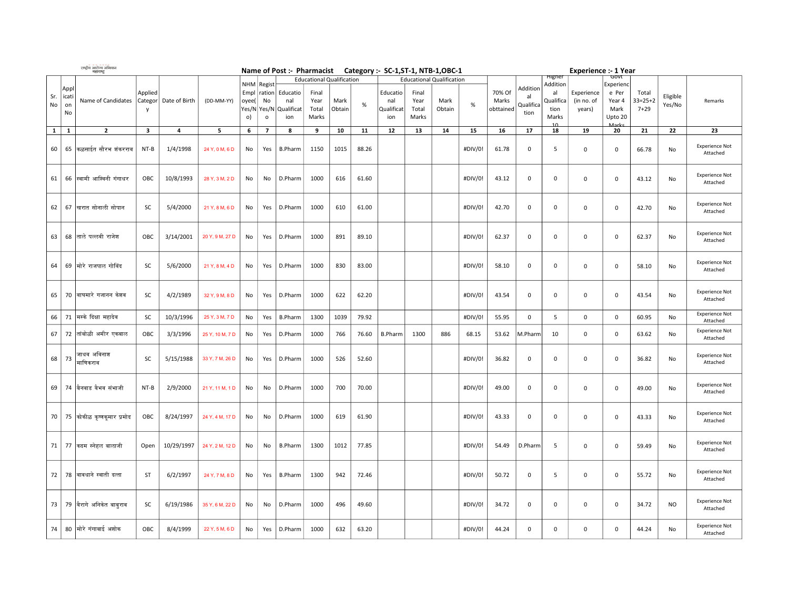|              |                          | राष्ट्रीय आरोज्य अभियान<br>महाराष्ट्र |                         |                |                 |                               |                                         |                                            |                                                                     |                |       | Name of Post :- Pharmacist Category :- SC-1, ST-1, NTB-1, OBC-1 |                                                                     |                |         |                              |                                     |                                                              | Experience :- 1 Year               |                                                                 |                                    |                    |                                   |
|--------------|--------------------------|---------------------------------------|-------------------------|----------------|-----------------|-------------------------------|-----------------------------------------|--------------------------------------------|---------------------------------------------------------------------|----------------|-------|-----------------------------------------------------------------|---------------------------------------------------------------------|----------------|---------|------------------------------|-------------------------------------|--------------------------------------------------------------|------------------------------------|-----------------------------------------------------------------|------------------------------------|--------------------|-----------------------------------|
| Sr.<br>No    | Appl<br>icat<br>on<br>No | Name of Candidates                    | Applied<br>Categor<br>y | Date of Birth  | (DD-MM-YY)      | Empl<br>oyee(<br>Yes/N <br>o) | NHM   Regist<br>ration<br>No<br>$\circ$ | Educatio<br>nal<br>Yes/N Qualificat<br>ion | <b>Educational Qualification</b><br>Final<br>Year<br>Total<br>Marks | Mark<br>Obtain | $\%$  | Educatio<br>nal<br>Qualificat<br>ion                            | <b>Educational Qualification</b><br>Final<br>Year<br>Total<br>Marks | Mark<br>Obtain | $\%$    | 70% Of<br>Marks<br>obttained | Addition<br>al<br>Qualifica<br>tion | migner<br>Addition<br>al<br>Qualifica<br>tion<br>Marks<br>10 | Experience<br>(in no. of<br>years) | ততথ<br>Experienc<br>e Per<br>Year 4<br>Mark<br>Upto 20<br>Marks | Total<br>$33 = 25 + 2$<br>$7 + 29$ | Eligible<br>Yes/No | Remarks                           |
| $\mathbf{1}$ | 1                        | $\overline{2}$                        | 3                       | $\overline{a}$ | 5               | 6                             | $\overline{\phantom{a}}$                | 8                                          | 9                                                                   | 10             | 11    | 12                                                              | 13                                                                  | 14             | 15      | 16                           | 17                                  | 18                                                           | 19                                 | 20                                                              | 21                                 | 22                 | 23                                |
| 60           | 65                       | कळसाईत सौरभ शंकरराव                   | $NT-B$                  | 1/4/1998       | 24 Y, 0 M, 6 D  | No                            | Yes                                     | <b>B.Pharm</b>                             | 1150                                                                | 1015           | 88.26 |                                                                 |                                                                     |                | #DIV/0! | 61.78                        | 0                                   | 5                                                            | 0                                  | 0                                                               | 66.78                              | No                 | <b>Experience Not</b><br>Attached |
| 61           | 66                       | स्वामी आश्विनी गंगाधर                 | OBC                     | 10/8/1993      | 28 Y, 3 M, 2 D  | No                            | No                                      | D.Pharm                                    | 1000                                                                | 616            | 61.60 |                                                                 |                                                                     |                | #DIV/0! | 43.12                        | 0                                   | 0                                                            | 0                                  | 0                                                               | 43.12                              | No                 | <b>Experience Not</b><br>Attached |
| 62           | 67                       | ∣खरात सोनाली सोपान                    | SC                      | 5/4/2000       | 21 Y, 8 M, 6 D  | No                            | Yes                                     | D.Pharm                                    | 1000                                                                | 610            | 61.00 |                                                                 |                                                                     |                | #DIV/0! | 42.70                        | 0                                   | 0                                                            | 0                                  | $\mathbf 0$                                                     | 42.70                              | No                 | <b>Experience Not</b><br>Attached |
| 63           |                          | 68 ।ताले पल्लवी राजेश                 | OBC                     | 3/14/2001      | 20 Y, 9 M, 27 D | No                            | Yes                                     | D.Pharm                                    | 1000                                                                | 891            | 89.10 |                                                                 |                                                                     |                | #DIV/0! | 62.37                        | 0                                   | $\mathbf 0$                                                  | 0                                  | $\mathbf 0$                                                     | 62.37                              | No                 | <b>Experience Not</b><br>Attached |
| 64           |                          | 69  मोरे राजपाल गोविंद                | SC                      | 5/6/2000       | 21 Y, 8 M, 4 D  | No                            | Yes                                     | D.Pharm                                    | 1000                                                                | 830            | 83.00 |                                                                 |                                                                     |                | #DIV/0! | 58.10                        | 0                                   | 0                                                            | 0                                  | 0                                                               | 58.10                              | No                 | <b>Experience Not</b><br>Attached |
| 65           |                          | 70 वाघमारे गजानन केशव                 | SC                      | 4/2/1989       | 32 Y, 9 M, 8 D  | No                            | Yes                                     | D.Pharm                                    | 1000                                                                | 622            | 62.20 |                                                                 |                                                                     |                | #DIV/0! | 43.54                        | 0                                   | 0                                                            | 0                                  | 0                                                               | 43.54                              | No                 | <b>Experience Not</b><br>Attached |
| 66           | 71                       | मस्के दिक्षा महादेव                   | SC                      | 10/3/1996      | 25 Y, 3 M, 7 D  | No                            | Yes                                     | <b>B.Pharm</b>                             | 1300                                                                | 1039           | 79.92 |                                                                 |                                                                     |                | #DIV/0! | 55.95                        | 0                                   | 5                                                            | 0                                  | $\mathbf 0$                                                     | 60.95                              | No                 | <b>Experience Not</b><br>Attached |
| 67           | 72                       | तांबोळी अमीर एकबाल                    | OBC                     | 3/3/1996       | 25 Y, 10 M, 7 D | No                            | Yes                                     | D.Pharm                                    | 1000                                                                | 766            | 76.60 | <b>B.Pharm</b>                                                  | 1300                                                                | 886            | 68.15   | 53.62                        | M.Pharm                             | 10                                                           | 0                                  | $^{\circ}$                                                      | 63.62                              | No                 | <b>Experience Not</b><br>Attached |
| 68           | 73                       | जाधव अविनाश<br>माणिकराव               | SC                      | 5/15/1988      | 33 Y, 7 M, 26 D | No                            | Yes                                     | D.Pharm                                    | 1000                                                                | 526            | 52.60 |                                                                 |                                                                     |                | #DIV/0! | 36.82                        | 0                                   | 0                                                            | 0                                  | 0                                                               | 36.82                              | No                 | <b>Experience Not</b><br>Attached |
| 69           | 74                       | विनवाड वैभव संभाजी                    | NT-B                    | 2/9/2000       | 21 Y, 11 M, 1 D | No                            | No                                      | D.Pharm                                    | 1000                                                                | 700            | 70.00 |                                                                 |                                                                     |                | #DIV/0! | 49.00                        | 0                                   | $\mathbf 0$                                                  | 0                                  | $\mathbf 0$                                                     | 49.00                              | No                 | <b>Experience Not</b><br>Attached |
|              |                          | 70   75 कोकीळ कृष्णकुमार प्रमोद       | OBC                     | 8/24/1997      | 24 Y, 4 M, 17 D | No                            | No                                      | D.Pharm                                    | 1000                                                                | 619            | 61.90 |                                                                 |                                                                     |                | #DIV/0! | 43.33                        | 0                                   | 0                                                            | 0                                  | $\mathsf 0$                                                     | 43.33                              | No                 | <b>Experience Not</b><br>Attached |
| 71           |                          | 77  कदम स्नेहल बालाजी                 | Open                    | 10/29/1997     | 24 Y, 2 M, 12 D | No                            | No                                      | <b>B.Pharm</b>                             | 1300                                                                | 1012           | 77.85 |                                                                 |                                                                     |                | #DIV/0! | 54.49                        | D.Pharm                             | 5                                                            | 0                                  | 0                                                               | 59.49                              | No                 | <b>Experience Not</b><br>Attached |
| 72           |                          | 78  वावधाने स्वाती दत्ता              | ST                      | 6/2/1997       | 24 Y, 7 M, 8 D  | No                            | Yes                                     | <b>B.Pharm</b>                             | 1300                                                                | 942            | 72.46 |                                                                 |                                                                     |                | #DIV/0! | 50.72                        | 0                                   | 5                                                            | 0                                  | 0                                                               | 55.72                              | No                 | <b>Experience Not</b><br>Attached |
| 73           |                          | 79 ∣वैरागे अनिकेत बाबूराव             | SC                      | 6/19/1986      | 35 Y, 6 M, 22 D | No                            | No                                      | D.Pharm                                    | 1000                                                                | 496            | 49.60 |                                                                 |                                                                     |                | #DIV/0! | 34.72                        | 0                                   | $\mathbf 0$                                                  | 0                                  | $\mathbf 0$                                                     | 34.72                              | <b>NO</b>          | <b>Experience Not</b><br>Attached |
| 74           |                          | 80  मोरे गंगाबाई अशोक                 | OBC                     | 8/4/1999       | 22 Y, 5 M, 6 D  | No                            | Yes                                     | D.Pharm                                    | 1000                                                                | 632            | 63.20 |                                                                 |                                                                     |                | #DIV/0! | 44.24                        | 0                                   | $\mathbf 0$                                                  | 0                                  | $\mathbf 0$                                                     | 44.24                              | No                 | <b>Experience Not</b><br>Attached |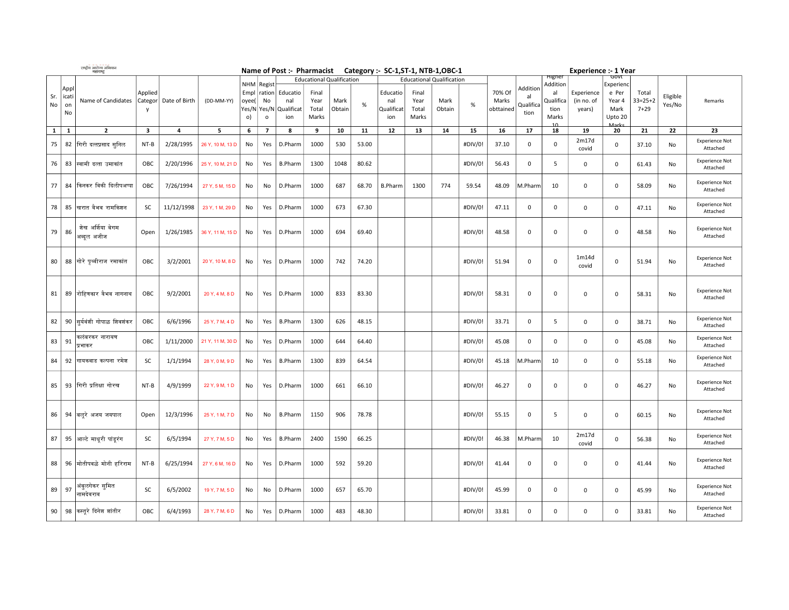|              |             | राष्ट्रीय आरोज्य अभियान<br>महाराष्ट्र |         |               |                  |          |                |                 |                                  |        |       | Name of Post: Pharmacist Category: SC-1, ST-1, NTB-1, OBC-1 |       |                                  |         |           |                 |                    | Experience :- 1 Year |                   |               |                    |                                   |
|--------------|-------------|---------------------------------------|---------|---------------|------------------|----------|----------------|-----------------|----------------------------------|--------|-------|-------------------------------------------------------------|-------|----------------------------------|---------|-----------|-----------------|--------------------|----------------------|-------------------|---------------|--------------------|-----------------------------------|
|              |             |                                       |         |               |                  |          | NHM   Regist   |                 | <b>Educational Qualification</b> |        |       |                                                             |       | <b>Educational Qualification</b> |         |           |                 | migner<br>Addition |                      | ত০তা<br>Experienc |               |                    |                                   |
|              | Appl        |                                       | Applied |               |                  | Emp      |                | ration Educatio | Final                            |        |       | Educatio                                                    | Final |                                  |         | 70% Of    | Addition        | al                 | Experience           | e Per             | Total         |                    |                                   |
| Sr.<br>No    | icat<br>on  | Name of Candidates                    | Categor | Date of Birth | (DD-MM-YY)       | oyee     | No             | nal             | Year                             | Mark   | $\%$  | nal                                                         | Year  | Mark                             | $\%$    | Marks     | al<br>Qualifica | Qualifica          | (in no. of           | Year 4            | $33 = 25 + 2$ | Eligible<br>Yes/No | Remarks                           |
|              | No          |                                       | y       |               |                  | Yes/l    | Yes/N          | Qualificat      | Total                            | Obtain |       | Qualificat                                                  | Total | Obtain                           |         | obttained | tion            | tion               | years)               | Mark              | $7 + 29$      |                    |                                   |
|              |             |                                       |         |               |                  | $\circ)$ | $\mathsf{o}$   | ion             | Marks                            |        |       | ion                                                         | Marks |                                  |         |           |                 | Marks<br>10        |                      | Upto 20<br>Marks  |               |                    |                                   |
| $\mathbf{1}$ | $\mathbf 1$ | $\mathbf{2}$                          | 3       | 4             | 5                | 6        | $\overline{7}$ | 8               | 9                                | 10     | 11    | 12                                                          | 13    | 14                               | 15      | 16        | 17              | 18                 | 19                   | 20                | 21            | 22                 | 23                                |
| 75           | 82          | गिरी दत्तप्रसाद सुनिल                 | NT-B    | 2/28/1995     | 26 Y, 10 M, 13 D | No       | Yes            | D.Pharm         | 1000                             | 530    | 53.00 |                                                             |       |                                  | #DIV/0! | 37.10     | 0               | 0                  | 2m17d<br>covid       | $\mathbf 0$       | 37.10         | No                 | <b>Experience Not</b><br>Attached |
| 76           | 83          | स्वामी दत्ता उमाकांत                  | OBC     | 2/20/1996     | 25 Y, 10 M, 21 D | No       | Yes            | <b>B.Pharm</b>  | 1300                             | 1048   | 80.62 |                                                             |       |                                  | #DIV/0! | 56.43     | 0               | 5                  | 0                    | $\mathbf 0$       | 61.43         | No                 | <b>Experience Not</b><br>Attached |
| 77           | 84          | किनकर विकी दिलीपअप्पा                 | OBC     | 7/26/1994     | 27 Y, 5 M, 15 D  | No       | No             | D.Pharm         | 1000                             | 687    | 68.70 | <b>B.Pharm</b>                                              | 1300  | 774                              | 59.54   | 48.09     | M.Pharm         | 10                 | 0                    | 0                 | 58.09         | No                 | <b>Experience Not</b><br>Attached |
| 78           | 85          | खिरात वैभव रामकिशन                    | SC      | 11/12/1998    | 23 Y, 1 M, 29 D  | No       | Yes            | D.Pharm         | 1000                             | 673    | 67.30 |                                                             |       |                                  | #DIV/0! | 47.11     | 0               | 0                  | 0                    | 0                 | 47.11         | No                 | <b>Experience Not</b><br>Attached |
|              |             | न्नेख अर्शिया बेगम                    |         |               |                  |          |                |                 |                                  |        |       |                                                             |       |                                  |         |           |                 |                    |                      |                   |               |                    | <b>Experience Not</b>             |
| 79           | 86          | अब्दल अजीज                            | Open    | 1/26/1985     | 36 Y, 11 M, 15 D | No       | Yes            | D.Pharm         | 1000                             | 694    | 69.40 |                                                             |       |                                  | #DIV/0! | 48.58     | 0               | 0                  | 0                    | 0                 | 48.58         | No                 | Attached                          |
| 80           |             | 88  गोरे पृथ्वीराज रमाकांत            | OBC     | 3/2/2001      | 20 Y, 10 M, 8 D  | No       | Yes            | D.Pharm         | 1000                             | 742    | 74.20 |                                                             |       |                                  | #DIV/0! | 51.94     | 0               | 0                  | 1m14d<br>covid       | $\mathbf 0$       | 51.94         | No                 | <b>Experience Not</b><br>Attached |
|              |             |                                       |         |               |                  |          |                |                 |                                  |        |       |                                                             |       |                                  |         |           |                 |                    |                      |                   |               |                    |                                   |
| 81           | 89          | रोहिणकार वैभव नागनाथ                  | OBC     | 9/2/2001      | 20 Y, 4 M, 8 D   | No       | Yes            | D.Pharm         | 1000                             | 833    | 83.30 |                                                             |       |                                  | #DIV/0! | 58.31     | 0               | 0                  | 0                    | 0                 | 58.31         | No                 | <b>Experience Not</b><br>Attached |
| 82           | 90          | सुर्यवंशी गोपाळ शिवशंकर               | OBC     | 6/6/1996      | 25 Y, 7 M, 4 D   | No       | Yes            | <b>B.Pharm</b>  | 1300                             | 626    | 48.15 |                                                             |       |                                  | #DIV/0! | 33.71     | 0               | 5                  | 0                    | $\mathbf 0$       | 38.71         | No                 | <b>Experience Not</b><br>Attached |
| 83           | 91          | कलंबरकर नारायण<br>प्रभाकर             | OBC     | 1/11/2000     | 21 Y, 11 M, 30 D | No       | Yes            | D.Pharm         | 1000                             | 644    | 64.40 |                                                             |       |                                  | #DIV/0! | 45.08     | 0               | 0                  | 0                    | 0                 | 45.08         | No                 | <b>Experience Not</b><br>Attached |
| 84           | 92          | गायकवाड कल्पना रमेश                   | SC      | 1/1/1994      | 28 Y, 0 M, 9 D   | No       | Yes            | <b>B.Pharm</b>  | 1300                             | 839    | 64.54 |                                                             |       |                                  | #DIV/0! | 45.18     | M.Pharm         | 10                 | 0                    | $\mathbf 0$       | 55.18         | No                 | <b>Experience Not</b><br>Attached |
| 85           | 93          | गिरी प्रतिक्षा गोरख                   | NT-B    | 4/9/1999      | 22 Y, 9 M, 1 D   | No       | Yes            | D.Pharm         | 1000                             | 661    | 66.10 |                                                             |       |                                  | #DIV/0! | 46.27     | 0               | 0                  | 0                    | $\mathbf 0$       | 46.27         | No                 | <b>Experience Not</b><br>Attached |
|              | 94<br>86    | बिलूरे अजय जयपाल                      | Open    | 12/3/1996     | 25 Y, 1 M, 7 D   | No       | No             | <b>B.Pharm</b>  | 1150                             | 906    | 78.78 |                                                             |       |                                  | #DIV/0! | 55.15     | 0               | 5                  | 0                    | 0                 | 60.15         | No                 | <b>Experience Not</b><br>Attached |
| 87           | 95          | आल्टे माधरी पांडरंग                   | SC      | 6/5/1994      | 27 Y, 7 M, 5 D   | No       | Yes            | <b>B.Pharm</b>  | 2400                             | 1590   | 66.25 |                                                             |       |                                  | #DIV/0! | 46.38     | M.Pharm         | 10                 | 2m17d<br>covid       | 0                 | 56.38         | No                 | <b>Experience Not</b><br>Attached |
| 88           | 96          | मोतीपवळे मोनी हरिराम                  | NT-B    | 6/25/1994     | 27 Y, 6 M, 16 D  | No       | Yes            | D.Pharm         | 1000                             | 592    | 59.20 |                                                             |       |                                  | #DIV/0! | 41.44     | 0               | 0                  | 0                    | 0                 | 41.44         | No                 | <b>Experience Not</b><br>Attached |
| 89           | 97          | अंबुलगेकर सुमित<br>नामदेवराव          | SC      | 6/5/2002      | 19 Y, 7 M, 5 D   | No       | No             | D.Pharm         | 1000                             | 657    | 65.70 |                                                             |       |                                  | #DIV/0! | 45.99     | 0               | 0                  | 0                    | 0                 | 45.99         | No                 | <b>Experience Not</b><br>Attached |
| 90           | 98          | कस्तुरे दिनेश शांतीर                  | OBC     | 6/4/1993      | 28 Y, 7 M, 6 D   | No       | Yes            | D.Pharm         | 1000                             | 483    | 48.30 |                                                             |       |                                  | #DIV/0! | 33.81     | 0               | 0                  | 0                    | 0                 | 33.81         | No                 | <b>Experience Not</b><br>Attached |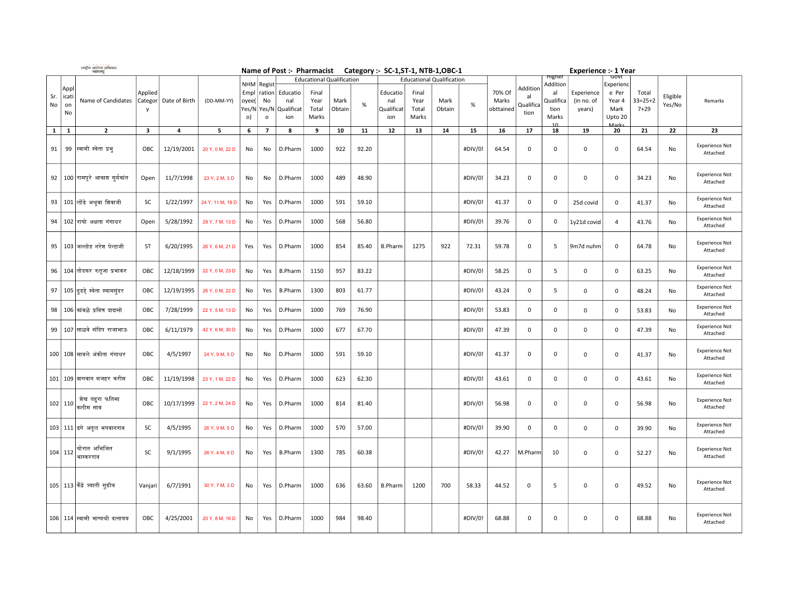|                                      | राष्ट्रीय आरोज्य अभियान<br>महाराष्ट्र |                                |               |                  |                                                |                                |                                                   |                                                                     |                |       | Name of Post :- Pharmacist Category :- SC-1, ST-1, NTB-1, OBC-1 |                                 |                                                    |         |                              |                                     |                                                              | Experience :- 1 Year               |                                                          |                                    |                    |                                   |
|--------------------------------------|---------------------------------------|--------------------------------|---------------|------------------|------------------------------------------------|--------------------------------|---------------------------------------------------|---------------------------------------------------------------------|----------------|-------|-----------------------------------------------------------------|---------------------------------|----------------------------------------------------|---------|------------------------------|-------------------------------------|--------------------------------------------------------------|------------------------------------|----------------------------------------------------------|------------------------------------|--------------------|-----------------------------------|
| App<br>Sr.<br>icat<br>No<br>on<br>No | Name of Candidates                    | Applied<br>Categor<br><b>y</b> | Date of Birth | (DD-MM-YY)       | <b>NHM</b><br>Emp<br>oyee<br>Yes/N<br>$\circ)$ | Regist<br>No<br>$\mathsf{o}\,$ | ration Educatio<br>nal<br>Yes/N Qualificat<br>ion | <b>Educational Qualification</b><br>Final<br>Year<br>Total<br>Marks | Mark<br>Obtain | $\%$  | Educatio<br>nal<br>Qualificat<br>ion                            | Final<br>Year<br>Total<br>Marks | <b>Educational Qualification</b><br>Mark<br>Obtain | %       | 70% Of<br>Marks<br>obttained | Addition<br>al<br>Qualifica<br>tion | mıgnei<br>Addition<br>al<br>Qualifica<br>tion<br>Marks<br>10 | Experience<br>(in no. of<br>years) | Experienc<br>e Per<br>Year 4<br>Mark<br>Upto 20<br>Marks | Total<br>$33 = 25 + 2$<br>$7 + 29$ | Eligible<br>Yes/No | Remarks                           |
| $\mathbf{1}$<br>1                    | $\mathbf{2}$                          | 3                              | 4             | 5                | 6                                              | 7                              | 8                                                 | 9                                                                   | 10             | 11    | 12                                                              | 13                              | 14                                                 | 15      | 16                           | 17                                  | 18                                                           | 19                                 | 20                                                       | 21                                 | 22                 | 23                                |
| 91<br>99                             | स्वामी श्वेता प्रभु                   | OBC                            | 12/19/2001    | 20 Y, 0 M, 22 D  | No                                             | No                             | D.Pharm                                           | 1000                                                                | 922            | 92.20 |                                                                 |                                 |                                                    | #DIV/0! | 64.54                        | 0                                   | $\Omega$                                                     | 0                                  | 0                                                        | 64.54                              | No                 | <b>Experience Not</b><br>Attached |
|                                      | 92   100 रामपूरे आकाश सूर्यकांत       | Open                           | 11/7/1998     | 23 Y, 2 M, 3 D   | No                                             | No                             | D.Pharm                                           | 1000                                                                | 489            | 48.90 |                                                                 |                                 |                                                    | #DIV/0! | 34.23                        | 0                                   | 0                                                            | 0                                  | 0                                                        | 34.23                              | No                 | <b>Experience Not</b><br>Attached |
| 93                                   | 101 लोंढे अश्रुवा शिवाजी              | SC                             | 1/22/1997     | 24 Y, 11 M, 19 D | No                                             | Yes                            | D.Pharm                                           | 1000                                                                | 591            | 59.10 |                                                                 |                                 |                                                    | #DIV/0! | 41.37                        | 0                                   | $\mathbf 0$                                                  | 25d covid                          | 0                                                        | 41.37                              | No                 | <b>Experience Not</b><br>Attached |
| 94                                   | 102 राघो अक्षता गंगाधर                | Open                           | 5/28/1992     | 29 Y, 7 M, 13 D  | No                                             | Yes                            | D.Pharm                                           | 1000                                                                | 568            | 56.80 |                                                                 |                                 |                                                    | #DIV/0! | 39.76                        | 0                                   | $\Omega$                                                     | 1y21d covid                        | $\overline{4}$                                           | 43.76                              | No                 | <b>Experience Not</b><br>Attached |
|                                      | 95   103 जल्लोड नरेश पेन्टाजी         | ST                             | 6/20/1995     | 26 Y, 6 M, 21 D  | Yes                                            | Yes                            | D.Pharm                                           | 1000                                                                | 854            | 85.40 | <b>B.Pharm</b>                                                  | 1275                            | 922                                                | 72.31   | 59.78                        | 0                                   | 5                                                            | 9m7d nuhm                          | 0                                                        | 64.78                              | No                 | <b>Experience Not</b><br>Attached |
| 96                                   | ∣ 104 तोडकर रुतुजा प्रभाकर            | OBC                            | 12/18/1999    | 22 Y, 0 M, 23 D  | No                                             | Yes                            | <b>B.Pharm</b>                                    | 1150                                                                | 957            | 83.22 |                                                                 |                                 |                                                    | #DIV/0! | 58.25                        | 0                                   | 5                                                            | 0                                  | 0                                                        | 63.25                              | No                 | <b>Experience Not</b><br>Attached |
| 97                                   | 105 दिडडे श्वेता श्यामसूंदर           | OBC                            | 12/19/1995    | 26 Y, 0 M, 22 D  | No                                             | Yes                            | <b>B.Pharm</b>                                    | 1300                                                                | 803            | 61.77 |                                                                 |                                 |                                                    | #DIV/0! | 43.24                        | 0                                   | 5                                                            | 0                                  | 0                                                        | 48.24                              | No                 | <b>Experience Not</b><br>Attached |
| 98                                   | 106  कांबळे प्रविण दादासो             | <b>OBC</b>                     | 7/28/1999     | 22 Y, 5 M, 13 D  | No                                             | Yes                            | D.Pharm                                           | 1000                                                                | 769            | 76.90 |                                                                 |                                 |                                                    | #DIV/0! | 53.83                        | 0                                   | $\mathbf 0$                                                  | 0                                  | 0                                                        | 53.83                              | No                 | <b>Experience Not</b><br>Attached |
| 99                                   | 107 साळवे संदिप राजाभाऊ               | OBC                            | 6/11/1979     | 42 Y, 6 M, 30 D  | No                                             | Yes                            | D.Pharm                                           | 1000                                                                | 677            | 67.70 |                                                                 |                                 |                                                    | #DIV/0! | 47.39                        | 0                                   | 0                                                            | 0                                  | 0                                                        | 47.39                              | No                 | <b>Experience Not</b><br>Attached |
|                                      | 100   108   मावले अंकीता गंगाधर       | <b>OBC</b>                     | 4/5/1997      | 24 Y, 9 M, 5 D   | No                                             | No                             | D.Pharm                                           | 1000                                                                | 591            | 59.10 |                                                                 |                                 |                                                    | #DIV/0! | 41.37                        | 0                                   | $\mathbf 0$                                                  | 0                                  | 0                                                        | 41.37                              | No                 | <b>Experience Not</b><br>Attached |
|                                      | 101   109  बागवान मजहर करीम           | OBC                            | 11/19/1998    | 23 Y, 1 M, 22 D  | No                                             | Yes                            | D.Pharm                                           | 1000                                                                | 623            | 62.30 |                                                                 |                                 |                                                    | #DIV/0! | 43.61                        | 0                                   | 0                                                            | 0                                  | 0                                                        | 43.61                              | No                 | <b>Experience Not</b><br>Attached |
| 102 110                              | शेख तहरा फतिमा<br>कलीम साब            | OBC                            | 10/17/1999    | 22 Y, 2 M, 24 D  | No                                             | Yes                            | D.Pharm                                           | 1000                                                                | 814            | 81.40 |                                                                 |                                 |                                                    | #DIV/0! | 56.98                        | 0                                   | $\mathbf 0$                                                  | 0                                  | 0                                                        | 56.98                              | No                 | <b>Experience Not</b><br>Attached |
|                                      | 103   111  ढगे अतूल भगवानराव          | SC                             | 4/5/1995      | 26 Y, 9 M, 5 D   | No                                             | Yes                            | D.Pharm                                           | 1000                                                                | 570            | 57.00 |                                                                 |                                 |                                                    | #DIV/0! | 39.90                        | 0                                   | 0                                                            | 0                                  | 0                                                        | 39.90                              | No                 | <b>Experience Not</b><br>Attached |
| 104 112                              | थोरात अभिजित<br>भास्करराव             | SC                             | 9/1/1995      | 26 Y, 4 M, 9 D   | No                                             | Yes                            | <b>B.Pharm</b>                                    | 1300                                                                | 785            | 60.38 |                                                                 |                                 |                                                    | #DIV/0! | 42.27                        | M.Pharm                             | 10                                                           | 0                                  | 0                                                        | 52.27                              | No                 | <b>Experience Not</b><br>Attached |
|                                      | 105 113 केंद्रे ज्याती सुग्रीव        | Vanjari                        | 6/7/1991      | 30 Y, 7 M, 3 D   | No                                             | Yes                            | D.Pharm                                           | 1000                                                                | 636            | 63.60 | <b>B.Pharm</b>                                                  | 1200                            | 700                                                | 58.33   | 44.52                        | $\mathbf 0$                         | 5                                                            | 0                                  | $\mathbf 0$                                              | 49.52                              | No                 | <b>Experience Not</b><br>Attached |
|                                      | 106   114 स्वामी भाग्यश्री दत्तात्रय  | OBC                            | 4/25/2001     | 20 Y, 8 M, 16 D  | No                                             | Yes                            | D.Pharm                                           | 1000                                                                | 984            | 98.40 |                                                                 |                                 |                                                    | #DIV/0! | 68.88                        | 0                                   | 0                                                            | 0                                  | 0                                                        | 68.88                              | No                 | <b>Experience Not</b><br>Attached |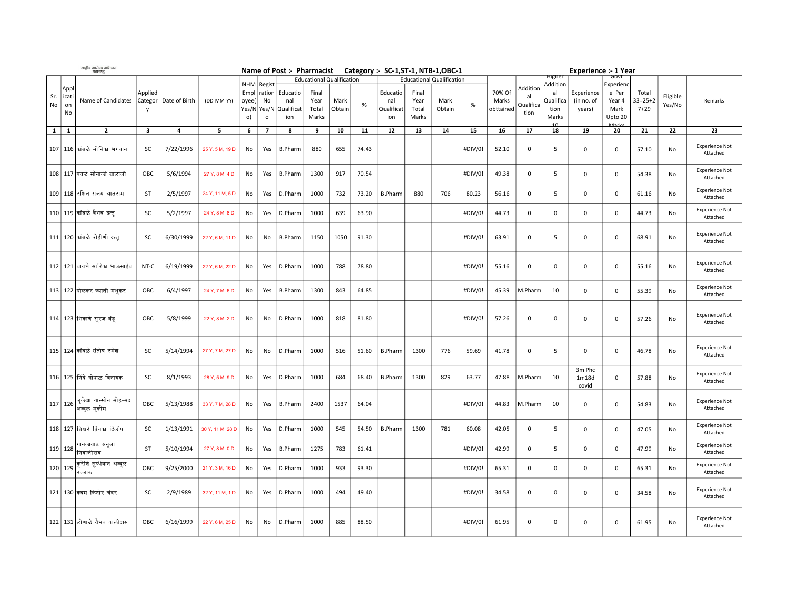|              |                          | राष्ट्रीय आरोज्य अभियान<br>महाराष्ट्र               |                         |               |                  |                                                  |                                       |                                             |                                                                     |                |       | Name of Post :- Pharmacist Category :- SC-1, ST-1, NTB-1, OBC-1 |                                 |                                                    |         |                              |                                     |                                                              | <b>Experience :- 1 Year</b>        |                                                                 |                                    |                    |                                   |
|--------------|--------------------------|-----------------------------------------------------|-------------------------|---------------|------------------|--------------------------------------------------|---------------------------------------|---------------------------------------------|---------------------------------------------------------------------|----------------|-------|-----------------------------------------------------------------|---------------------------------|----------------------------------------------------|---------|------------------------------|-------------------------------------|--------------------------------------------------------------|------------------------------------|-----------------------------------------------------------------|------------------------------------|--------------------|-----------------------------------|
| Sr.<br>No    | Appl<br>icat<br>on<br>No | Name of Candidates                                  | Applied<br>Categor<br>y | Date of Birth | (DD-MM-YY)       | <b>NHM</b><br>Empl<br>oyee(<br>Yes/N<br>$\circ)$ | Regist<br>No<br>Yes/N<br>$\mathsf{o}$ | ration Educatio<br>nal<br>Qualificat<br>ion | <b>Educational Qualification</b><br>Final<br>Year<br>Total<br>Marks | Mark<br>Obtain | $\%$  | Educatio<br>nal<br>Qualificat<br>ion                            | Final<br>Year<br>Total<br>Marks | <b>Educational Qualification</b><br>Mark<br>Obtain | %       | 70% Of<br>Marks<br>obttained | Addition<br>al<br>Qualifica<br>tion | migner<br>Addition<br>al<br>Qualifica<br>tion<br>Marks<br>10 | Experience<br>(in no. of<br>years) | ততথ<br>Experienc<br>e Per<br>Year 4<br>Mark<br>Upto 20<br>Marks | Total<br>$33 = 25 + 2$<br>$7 + 29$ | Eligible<br>Yes/No | Remarks                           |
| $\mathbf{1}$ | 1                        | $\mathbf{2}$                                        | 3                       | 4             | 5                | 6                                                | $\overline{7}$                        | 8                                           | 9                                                                   | 10             | 11    | 12                                                              | 13                              | 14                                                 | 15      | 16                           | 17                                  | 18                                                           | 19                                 | 20                                                              | 21                                 | 22                 | 23                                |
|              |                          | 107   116   कांबळे मोनिका भगवान                     | SC                      | 7/22/1996     | 25 Y, 5 M, 19 D  | No                                               | Yes                                   | <b>B.Pharm</b>                              | 880                                                                 | 655            | 74.43 |                                                                 |                                 |                                                    | #DIV/0! | 52.10                        | 0                                   | 5                                                            | 0                                  | $\mathbf 0$                                                     | 57.10                              | No                 | <b>Experience Not</b><br>Attached |
|              |                          | 108   117  पवळे सोनाली बालाजी                       | OBC                     | 5/6/1994      | 27 Y, 8 M, 4 D   | No                                               | Yes                                   | <b>B.Pharm</b>                              | 1300                                                                | 917            | 70.54 |                                                                 |                                 |                                                    | #DIV/0! | 49.38                        | 0                                   | 5                                                            | 0                                  | 0                                                               | 54.38                              | No                 | <b>Experience Not</b><br>Attached |
|              |                          | 109   118 रक्षित संजय आतराम                         | ST                      | 2/5/1997      | 24 Y, 11 M, 5 D  | No                                               | Yes                                   | D.Pharm                                     | 1000                                                                | 732            | 73.20 | <b>B.Pharm</b>                                                  | 880                             | 706                                                | 80.23   | 56.16                        | 0                                   | 5                                                            | 0                                  | $\mathbf 0$                                                     | 61.16                              | No                 | <b>Experience Not</b><br>Attached |
|              |                          | 110   119  कांबळे वैभव दत्तु                        | SC                      | 5/2/1997      | 24 Y, 8 M, 8 D   | No                                               | Yes                                   | D.Pharm                                     | 1000                                                                | 639            | 63.90 |                                                                 |                                 |                                                    | #DIV/0! | 44.73                        | 0                                   | 0                                                            | 0                                  | 0                                                               | 44.73                              | No                 | <b>Experience Not</b><br>Attached |
|              |                          | 111   120   कांबळे रोहीणी दत्तु                     | SC                      | 6/30/1999     | 22 Y, 6 M, 11 D  | No                                               | No                                    | <b>B.Pharm</b>                              | 1150                                                                | 1050           | 91.30 |                                                                 |                                 |                                                    | #DIV/0! | 63.91                        | 0                                   | 5                                                            | 0                                  | 0                                                               | 68.91                              | No                 | <b>Experience Not</b><br>Attached |
|              |                          | 112   121  बावचे सारिका भाऊसाहेब                    | NT-C                    | 6/19/1999     | 22 Y, 6 M, 22 D  | No                                               | Yes                                   | D.Pharm                                     | 1000                                                                | 788            | 78.80 |                                                                 |                                 |                                                    | #DIV/0! | 55.16                        | 0                                   | 0                                                            | 0                                  | 0                                                               | 55.16                              | No                 | <b>Experience Not</b><br>Attached |
|              |                          | 113   122  पोलकर ज्याती मधुकर                       | OBC                     | 6/4/1997      | 24 Y, 7 M, 6 D   | No                                               | Yes                                   | <b>B.Pharm</b>                              | 1300                                                                | 843            | 64.85 |                                                                 |                                 |                                                    | #DIV/0! | 45.39                        | M.Pharm                             | 10                                                           | 0                                  | 0                                                               | 55.39                              | No                 | <b>Experience Not</b><br>Attached |
|              |                          | 114   123  भिकाणे सुरज बंड्                         | OBC                     | 5/8/1999      | 22 Y, 8 M, 2 D   | No                                               | No                                    | D.Pharm                                     | 1000                                                                | 818            | 81.80 |                                                                 |                                 |                                                    | #DIV/0! | 57.26                        | 0                                   | 0                                                            | 0                                  | $\mathbf 0$                                                     | 57.26                              | No                 | <b>Experience Not</b><br>Attached |
|              |                          | 115   124   कांबळे संतोष रमेश                       | SC                      | 5/14/1994     | 27 Y, 7 M, 27 D  | No                                               | No                                    | D.Pharm                                     | 1000                                                                | 516            | 51.60 | <b>B.Pharm</b>                                                  | 1300                            | 776                                                | 59.69   | 41.78                        | 0                                   | 5                                                            | 0                                  | 0                                                               | 46.78                              | No                 | <b>Experience Not</b><br>Attached |
|              |                          | 116   125 शिंदे गोपाळ विनायक                        | SC                      | 8/1/1993      | 28 Y, 5 M, 9 D   | No                                               | Yes                                   | D.Pharm                                     | 1000                                                                | 684            | 68.40 | <b>B.Pharm</b>                                                  | 1300                            | 829                                                | 63.77   | 47.88                        | M.Pharm                             | 10                                                           | 3m Phc<br>1m18d<br>covid           | $\mathbf 0$                                                     | 57.88                              | No                 | <b>Experience Not</b><br>Attached |
|              | 117 126                  | जूलेखा यास्मीन मोहम्मद<br><sup>।</sup> अब्दूल मूकीम | OBC                     | 5/13/1988     | 33 Y, 7 M, 28 D  | No                                               | Yes                                   | <b>B.Pharm</b>                              | 2400                                                                | 1537           | 64.04 |                                                                 |                                 |                                                    | #DIV/0! | 44.83                        | M.Pharm                             | 10                                                           | 0                                  | 0                                                               | 54.83                              | No                 | <b>Experience Not</b><br>Attached |
|              |                          | 118   127 शिखरे प्रिंयका दिलीप                      | SC                      | 1/13/1991     | 30 Y, 11 M, 28 D | No                                               | Yes                                   | D.Pharm                                     | 1000                                                                | 545            | 54.50 | <b>B.Pharm</b>                                                  | 1300                            | 781                                                | 60.08   | 42.05                        | 0                                   | 5                                                            | 0                                  | 0                                                               | 47.05                              | No                 | <b>Experience Not</b><br>Attached |
|              | 119 128                  | गानलावाड अनजा<br>शिवाजीराव                          | ST                      | 5/10/1994     | 27 Y, 8 M, 0 D   | No                                               | Yes                                   | <b>B.Pharm</b>                              | 1275                                                                | 783            | 61.41 |                                                                 |                                 |                                                    | #DIV/0! | 42.99                        | 0                                   | 5                                                            | 0                                  | 0                                                               | 47.99                              | No                 | <b>Experience Not</b><br>Attached |
|              | 120 129                  | कुरेशि सुफीयान अब्दुल<br>रज्जाक                     | OBC                     | 9/25/2000     | 21 Y, 3 M, 16 D  | No                                               | Yes                                   | D.Pharm                                     | 1000                                                                | 933            | 93.30 |                                                                 |                                 |                                                    | #DIV/0! | 65.31                        | 0                                   | 0                                                            | 0                                  | $\mathbf 0$                                                     | 65.31                              | No                 | <b>Experience Not</b><br>Attached |
|              |                          | 121   130  कदम किशोर चंदर                           | SC                      | 2/9/1989      | 32 Y. 11 M. 1 D  | No                                               | Yes                                   | D.Pharm                                     | 1000                                                                | 494            | 49.40 |                                                                 |                                 |                                                    | #DIV/0! | 34.58                        | 0                                   | 0                                                            | 0                                  | 0                                                               | 34.58                              | No                 | <b>Experience Not</b><br>Attached |
|              |                          | 122   131 लोणाळे वैभव कालीदास                       | OBC                     | 6/16/1999     | 22 Y, 6 M, 25 D  | No                                               | No                                    | D.Pharm                                     | 1000                                                                | 885            | 88.50 |                                                                 |                                 |                                                    | #DIV/0! | 61.95                        | 0                                   | $\mathbf{0}$                                                 | 0                                  | $\mathbf 0$                                                     | 61.95                              | No                 | <b>Experience Not</b><br>Attached |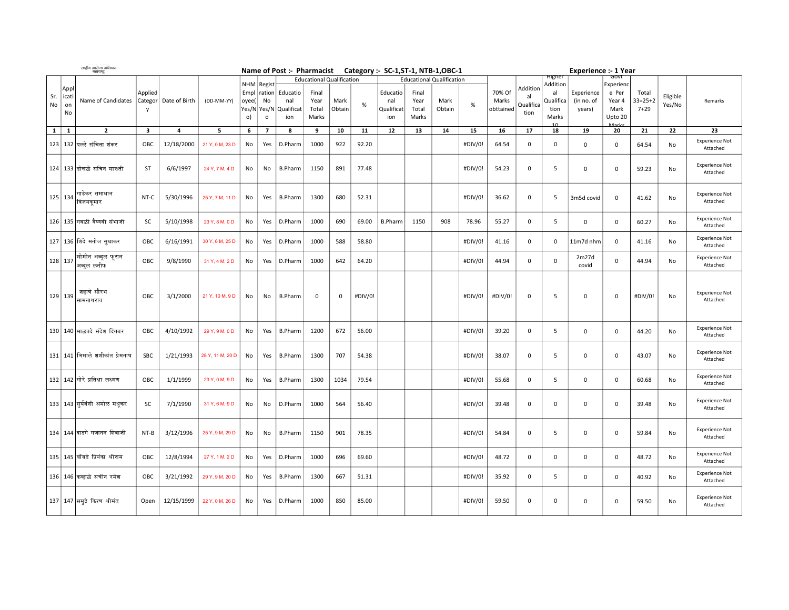|              |              | राष्ट्रीय आरोज्य अभियान<br>महाराष्ट्र |            |                         |                  |      |                |                 |                                  |        |         | Name of Post :- Pharmacist Category :- SC-1, ST-1, NTB-1, OBC-1 |       |                                  |         |           |             |           | Experience :- 1 Year |                    |               |          |                                   |
|--------------|--------------|---------------------------------------|------------|-------------------------|------------------|------|----------------|-----------------|----------------------------------|--------|---------|-----------------------------------------------------------------|-------|----------------------------------|---------|-----------|-------------|-----------|----------------------|--------------------|---------------|----------|-----------------------------------|
|              |              |                                       |            |                         |                  |      |                |                 | <b>Educational Qualification</b> |        |         |                                                                 |       | <b>Educational Qualification</b> |         |           |             | mgner     |                      | ততথ                |               |          |                                   |
|              | Appl         |                                       |            |                         |                  |      | NHM   Regist   | ration Educatio | Final                            |        |         | Educatio                                                        | Final |                                  |         | 70% Of    | Addition    | Addition  |                      | Experienc<br>e Per | Total         |          |                                   |
| Sr.          | icat         |                                       | Applied    |                         |                  | Empl |                |                 |                                  |        |         |                                                                 |       |                                  |         |           | al          | al        | Experience           |                    |               | Eligible |                                   |
| No           | on           | Name of Candidates                    | Categor    | Date of Birth           | (DD-MM-YY)       | oyee | No             | nal             | Year                             | Mark   | $\%$    | nal                                                             | Year  | Mark                             | $\%$    | Marks     | Qualifica   | Qualifica | (in no. of           | Year 4             | $33 = 25 + 2$ | Yes/No   | Remarks                           |
|              | No           |                                       | y          |                         |                  |      | Yes/N Yes/N    | Qualificat      | Total                            | Obtain |         | Qualificat                                                      | Total | Obtain                           |         | obttained | tion        | tion      | years)               | Mark               | $7 + 29$      |          |                                   |
|              |              |                                       |            |                         |                  | o)   | $\mathsf{o}$   | ion             | Marks                            |        |         | ion                                                             | Marks |                                  |         |           |             | Marks     |                      | Upto 20            |               |          |                                   |
| $\mathbf{1}$ | $\mathbf{1}$ | $\overline{2}$                        | 3          | $\overline{\mathbf{4}}$ | 5                | 6    | $\overline{7}$ | 8               | 9                                | 10     | 11      | 12                                                              | 13    | 14                               | 15      | 16        | 17          | 10<br>18  | 19                   | Marks<br>20        | 21            | 22       | 23                                |
|              |              |                                       |            |                         |                  |      |                |                 |                                  |        |         |                                                                 |       |                                  |         |           |             |           |                      |                    |               |          |                                   |
|              |              | 123   132 पल्ले संचिता ज़ंकर          | <b>OBC</b> | 12/18/2000              | 21 Y, 0 M, 23 D  | No   | Yes            | D.Pharm         | 1000                             | 922    | 92.20   |                                                                 |       |                                  | #DIV/0! | 64.54     | 0           | 0         | 0                    | $\mathbf 0$        | 64.54         | No       | <b>Experience Not</b>             |
|              |              |                                       |            |                         |                  |      |                |                 |                                  |        |         |                                                                 |       |                                  |         |           |             |           |                      |                    |               |          | Attached                          |
|              |              |                                       |            |                         |                  |      |                |                 |                                  |        |         |                                                                 |       |                                  |         |           |             |           |                      |                    |               |          |                                   |
|              |              | 124   133  डोखळे सचिन मारुती          | ST         | 6/6/1997                | 24 Y, 7 M, 4 D   | No   | No             | <b>B.Pharm</b>  | 1150                             | 891    | 77.48   |                                                                 |       |                                  | #DIV/0! | 54.23     | 0           | 5         | 0                    | $\mathbf 0$        | 59.23         | No       | <b>Experience Not</b>             |
|              |              |                                       |            |                         |                  |      |                |                 |                                  |        |         |                                                                 |       |                                  |         |           |             |           |                      |                    |               |          | Attached                          |
|              |              |                                       |            |                         |                  |      |                |                 |                                  |        |         |                                                                 |       |                                  |         |           |             |           |                      |                    |               |          |                                   |
|              |              | गाडेकर समाधान                         |            |                         |                  |      |                |                 |                                  |        |         |                                                                 |       |                                  |         |           |             |           |                      |                    |               |          | <b>Experience Not</b>             |
|              | 125 134      | विजयकमार                              | NT-C       | 5/30/1996               | 25 Y, 7 M, 11 D  | No   | Yes            | <b>B.Pharm</b>  | 1300                             | 680    | 52.31   |                                                                 |       |                                  | #DIV/0! | 36.62     | 0           | 5         | 3m5d covid           | $\mathbf 0$        | 41.62         | No       | Attached                          |
|              |              |                                       |            |                         |                  |      |                |                 |                                  |        |         |                                                                 |       |                                  |         |           |             |           |                      |                    |               |          |                                   |
|              |              |                                       |            |                         |                  |      |                |                 |                                  |        |         |                                                                 |       |                                  |         |           |             |           |                      |                    |               |          | <b>Experience Not</b>             |
|              |              | 126   135  गवळी वैष्णवी संभाजी        | SC         | 5/10/1998               | 23 Y, 8 M, 0 D   | No   | Yes            | D.Pharm         | 1000                             | 690    | 69.00   | <b>B.Pharm</b>                                                  | 1150  | 908                              | 78.96   | 55.27     | $\mathbf 0$ | 5         | $\mathbf{0}$         | $\mathbf 0$        | 60.27         | No       | Attached                          |
|              |              |                                       |            |                         |                  |      |                |                 |                                  |        |         |                                                                 |       |                                  |         |           |             |           |                      |                    |               |          |                                   |
|              |              | 127   136 सिंदे मनोज सुधाकर           | OBC        | 6/16/1991               | 30 Y, 6 M, 25 D  | No   | Yes            | D.Pharm         | 1000                             | 588    | 58.80   |                                                                 |       |                                  | #DIV/0! | 41.16     | 0           | 0         | 11m7d nhm            | $\mathbf 0$        | 41.16         | No       | <b>Experience Not</b>             |
|              |              |                                       |            |                         |                  |      |                |                 |                                  |        |         |                                                                 |       |                                  |         |           |             |           |                      |                    |               |          | Attached                          |
|              | 128 137      | मोमीन अब्दूल फूरान                    | OBC        | 9/8/1990                | 31 Y, 4 M, 2 D   | No   | Yes            | D.Pharm         | 1000                             | 642    | 64.20   |                                                                 |       |                                  | #DIV/0! | 44.94     | 0           | 0         | 2m27d                | 0                  | 44.94         | No       | <b>Experience Not</b>             |
|              |              | अब्दूल लतीफ                           |            |                         |                  |      |                |                 |                                  |        |         |                                                                 |       |                                  |         |           |             |           | covid                |                    |               |          | Attached                          |
|              |              |                                       |            |                         |                  |      |                |                 |                                  |        |         |                                                                 |       |                                  |         |           |             |           |                      |                    |               |          |                                   |
|              |              |                                       |            |                         |                  |      |                |                 |                                  |        |         |                                                                 |       |                                  |         |           |             |           |                      |                    |               |          |                                   |
|              |              | शहाणे सौरभ                            |            |                         |                  |      |                |                 |                                  |        |         |                                                                 |       |                                  |         |           |             |           |                      |                    |               |          | <b>Experience Not</b>             |
|              | 129 139      | सामनाथराव                             | OBC        | 3/1/2000                | 21 Y, 10 M, 9 D  | No   | No             | <b>B.Pharm</b>  | $\mathbf 0$                      | 0      | #DIV/0! |                                                                 |       |                                  | #DIV/0! | #DIV/0!   | 0           | 5         | 0                    | $\mathsf 0$        | #DIV/0!       | No       | Attached                          |
|              |              |                                       |            |                         |                  |      |                |                 |                                  |        |         |                                                                 |       |                                  |         |           |             |           |                      |                    |               |          |                                   |
|              |              |                                       |            |                         |                  |      |                |                 |                                  |        |         |                                                                 |       |                                  |         |           |             |           |                      |                    |               |          |                                   |
|              |              |                                       |            |                         |                  |      |                |                 |                                  |        |         |                                                                 |       |                                  |         |           |             |           |                      |                    |               |          |                                   |
|              |              | 130   140   माळवदे संदेश दिंगबर       | OBC        | 4/10/1992               | 29 Y, 9 M, 0 D   | No   | Yes            | <b>B.Pharm</b>  | 1200                             | 672    | 56.00   |                                                                 |       |                                  | #DIV/0! | 39.20     | $\mathbf 0$ | 5         | $\mathbf 0$          | $\mathbf 0$        | 44.20         | No       | <b>Experience Not</b><br>Attached |
|              |              |                                       |            |                         |                  |      |                |                 |                                  |        |         |                                                                 |       |                                  |         |           |             |           |                      |                    |               |          |                                   |
|              |              |                                       |            |                         |                  |      |                |                 |                                  |        |         |                                                                 |       |                                  |         |           |             |           |                      |                    |               |          |                                   |
|              |              | 131   141  भिमाले शशीकांत प्रेमनाथ    | SBC        | 1/21/1993               | 28 Y, 11 M, 20 D | No   | Yes            | <b>B.Pharm</b>  | 1300                             | 707    | 54.38   |                                                                 |       |                                  | #DIV/0! | 38.07     | 0           | 5         | 0                    | $\mathsf 0$        | 43.07         | No       | <b>Experience Not</b><br>Attached |
|              |              |                                       |            |                         |                  |      |                |                 |                                  |        |         |                                                                 |       |                                  |         |           |             |           |                      |                    |               |          |                                   |
|              |              |                                       |            |                         |                  |      |                |                 |                                  |        |         |                                                                 |       |                                  |         |           |             |           |                      |                    |               |          |                                   |
|              |              | 132   142 गोरे प्रतिक्षा लक्ष्मण      | OBC        | 1/1/1999                | 23 Y, 0 M, 9 D   | No   | Yes            | <b>B.Pharm</b>  | 1300                             | 1034   | 79.54   |                                                                 |       |                                  | #DIV/0! | 55.68     | $\mathbf 0$ | 5         | $\mathbf 0$          | $\mathbf 0$        | 60.68         | No       | <b>Experience Not</b><br>Attached |
|              |              |                                       |            |                         |                  |      |                |                 |                                  |        |         |                                                                 |       |                                  |         |           |             |           |                      |                    |               |          |                                   |
|              |              |                                       |            |                         |                  |      |                |                 |                                  |        |         |                                                                 |       |                                  |         |           |             |           |                      |                    |               |          | <b>Experience Not</b>             |
|              |              | 133   143 सुर्यवंशी अमोल मधुकर        | <b>SC</b>  | 7/1/1990                | 31 Y, 6 M, 9 D   | No   | No             | D.Pharm         | 1000                             | 564    | 56.40   |                                                                 |       |                                  | #DIV/0! | 39.48     | 0           | 0         | 0                    | $\mathbf 0$        | 39.48         | No       | Attached                          |
|              |              |                                       |            |                         |                  |      |                |                 |                                  |        |         |                                                                 |       |                                  |         |           |             |           |                      |                    |               |          |                                   |
|              |              |                                       |            |                         |                  |      |                |                 |                                  |        |         |                                                                 |       |                                  |         |           |             |           |                      |                    |               |          |                                   |
|              |              | 134   144  दाडगे गजानन शिवाजी         | NT-B       | 3/12/1996               | 25 Y, 9 M, 29 D  | No   | No             | <b>B.Pharm</b>  | 1150                             | 901    | 78.35   |                                                                 |       |                                  | #DIV/0! | 54.84     | 0           | 5         | 0                    | $\mathsf 0$        | 59.84         | No       | <b>Experience Not</b>             |
|              |              |                                       |            |                         |                  |      |                |                 |                                  |        |         |                                                                 |       |                                  |         |           |             |           |                      |                    |               |          | Attached                          |
|              |              |                                       |            |                         |                  |      |                |                 |                                  |        |         |                                                                 |       |                                  |         |           |             |           |                      |                    |               |          |                                   |
|              |              | 135   145  बोंबडे प्रियंका श्रीराम    | OBC        | 12/8/1994               | 27 Y, 1 M, 2 D   | No   | Yes            | D.Pharm         | 1000                             | 696    | 69.60   |                                                                 |       |                                  | #DIV/0! | 48.72     | 0           | 0         | 0                    | 0                  | 48.72         | No       | <b>Experience Not</b>             |
|              |              |                                       |            |                         |                  |      |                |                 |                                  |        |         |                                                                 |       |                                  |         |           |             |           |                      |                    |               |          | Attached                          |
|              |              |                                       |            |                         |                  |      |                |                 |                                  |        |         |                                                                 |       |                                  |         |           |             |           |                      |                    |               |          | <b>Experience Not</b>             |
|              |              | 136   146   कव्हाळे सचीन रमेश         | OBC        | 3/21/1992               | 29 Y, 9 M, 20 D  | No   | Yes            | <b>B.Pharm</b>  | 1300                             | 667    | 51.31   |                                                                 |       |                                  | #DIV/0! | 35.92     | 0           | 5         | 0                    | 0                  | 40.92         | No       | Attached                          |
|              |              |                                       |            |                         |                  |      |                |                 |                                  |        |         |                                                                 |       |                                  |         |           |             |           |                      |                    |               |          |                                   |
|              |              |                                       |            |                         |                  |      |                |                 |                                  |        |         |                                                                 |       |                                  |         |           |             |           |                      |                    |               |          | <b>Experience Not</b>             |
|              |              | 137   147 समुद्रे किरण श्रीमंत        | Open       | 12/15/1999              | 22 Y, 0 M, 26 D  | No   | Yes            | D.Pharm         | 1000                             | 850    | 85.00   |                                                                 |       |                                  | #DIV/0! | 59.50     | 0           | 0         | 0                    | $\mathbf 0$        | 59.50         | No       | Attached                          |
|              |              |                                       |            |                         |                  |      |                |                 |                                  |        |         |                                                                 |       |                                  |         |           |             |           |                      |                    |               |          |                                   |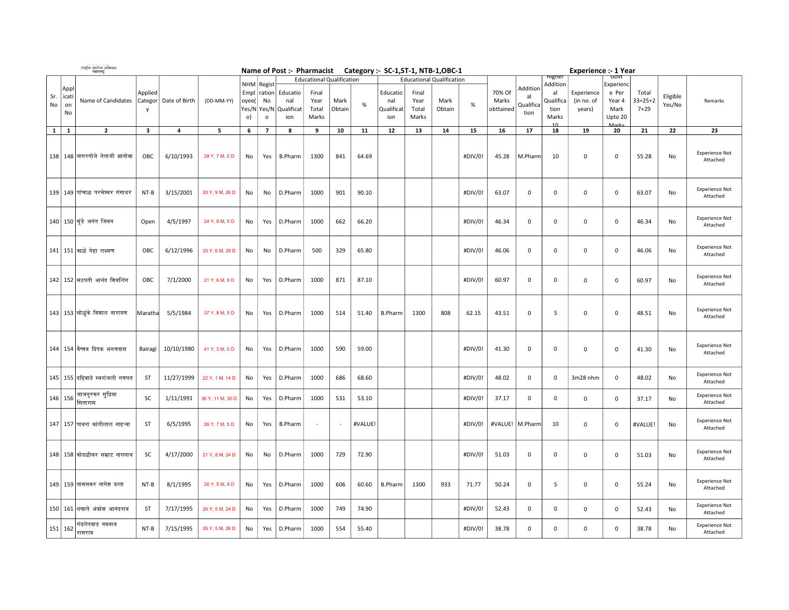|              | राष्ट्रीय आरोज्य अभियान<br>महाराष्ट्र<br>Name of Post: Pharmacist Category: SC-1, ST-1, NTB-1, OBC-1 |                                     |                         |               |                  |                                    |                                            |                                            |                                                                     |                |         |                                      |                                                                     |                |         |                              |                                     |                                                             | Experience :- 1 Year               |                                                                 |                                    |                    |                                   |
|--------------|------------------------------------------------------------------------------------------------------|-------------------------------------|-------------------------|---------------|------------------|------------------------------------|--------------------------------------------|--------------------------------------------|---------------------------------------------------------------------|----------------|---------|--------------------------------------|---------------------------------------------------------------------|----------------|---------|------------------------------|-------------------------------------|-------------------------------------------------------------|------------------------------------|-----------------------------------------------------------------|------------------------------------|--------------------|-----------------------------------|
| Sr.<br>No    | Appl<br>icati<br>on<br>No                                                                            | Name of Candidates                  | Applied<br>Categor<br>y | Date of Birth | (DD-MM-YY)       | Empl<br>oyee(<br>Yes/N<br>$\circ)$ | NHM Regist<br>ration<br>No<br>$\mathsf{o}$ | Educatio<br>nal<br>Yes/N Qualificat<br>ion | <b>Educational Qualification</b><br>Final<br>Year<br>Total<br>Marks | Mark<br>Obtain | $\%$    | Educatio<br>nal<br>Qualificat<br>ion | <b>Educational Qualification</b><br>Final<br>Year<br>Total<br>Marks | Mark<br>Obtain | $\%$    | 70% Of<br>Marks<br>obttained | Addition<br>al<br>Qualifica<br>tion | mgner<br>Addition<br>al<br>Qualifica<br>tion<br>Marks<br>10 | Experience<br>(in no. of<br>years) | ততথ<br>Experienc<br>e Per<br>Year 4<br>Mark<br>Upto 20<br>Marks | Total<br>$33 = 25 + 2$<br>$7 + 29$ | Eligible<br>Yes/No | Remarks                           |
| $\mathbf{1}$ | $\mathbf{1}$                                                                                         | $\overline{2}$                      | 3                       | 4             | 5                | 6                                  | $\overline{7}$                             | 8                                          | 9                                                                   | 10             | 11      | 12                                   | 13                                                                  | 14             | 15      | 16                           | 17                                  | 18                                                          | 19                                 | 20                                                              | 21                                 | 22                 | 23                                |
|              |                                                                                                      | 138   148  नागरगोजे नेताजी ज्ञानोबा | OBC                     | 6/10/1993     | 28 Y, 7 M, 0 D   | No                                 | Yes                                        | <b>B.Pharm</b>                             | 1300                                                                | 841            | 64.69   |                                      |                                                                     |                | #DIV/0! | 45.28                        | M.Pharm                             | 10                                                          | 0                                  | $\mathsf 0$                                                     | 55.28                              | No                 | <b>Experience Not</b><br>Attached |
|              |                                                                                                      | 139   149  पांचाळ परमेश्वर गंगाधर   | NT-B                    | 3/15/2001     | 20 Y, 9 M, 26 D  | No                                 | No                                         | D.Pharm                                    | 1000                                                                | 901            | 90.10   |                                      |                                                                     |                | #DIV/0! | 63.07                        | 0                                   | 0                                                           | 0                                  | 0                                                               | 63.07                              | No                 | <b>Experience Not</b><br>Attached |
|              |                                                                                                      | 140   150   मूंडे अनंत जिवन         | Open                    | 4/5/1997      | 24 Y, 9 M, 5 D   | No                                 | Yes                                        | D.Pharm                                    | 1000                                                                | 662            | 66.20   |                                      |                                                                     |                | #DIV/0! | 46.34                        | 0                                   | 0                                                           | 0                                  | $\mathbf 0$                                                     | 46.34                              | No                 | <b>Experience Not</b><br>Attached |
|              |                                                                                                      | 141   151  काळे नेहा लक्ष्मण        | OBC                     | 6/12/1996     | 25 Y, 6 M, 29 D  | No                                 | No                                         | D.Pharm                                    | 500                                                                 | 329            | 65.80   |                                      |                                                                     |                | #DIV/0! | 46.06                        | 0                                   | 0                                                           | 0                                  | 0                                                               | 46.06                              | No                 | <b>Experience Not</b><br>Attached |
|              |                                                                                                      | 142   152   मठपती आनंद शिवलिंग      | OBC                     | 7/1/2000      | 21 Y, 6 M, 9 D   | No                                 | Yes                                        | D.Pharm                                    | 1000                                                                | 871            | 87.10   |                                      |                                                                     |                | #DIV/0! | 60.97                        | 0                                   | $\mathbf 0$                                                 | 0                                  | $\mathbf 0$                                                     | 60.97                              | No                 | <b>Experience Not</b><br>Attached |
|              |                                                                                                      | 143   153 सोळूंके विशाल नारायण      | Maratha                 | 5/5/1984      | 37 Y, 8 M, 5 D   | No                                 | Yes                                        | D.Pharm                                    | 1000                                                                | 514            | 51.40   | <b>B.Pharm</b>                       | 1300                                                                | 808            | 62.15   | 43.51                        | 0                                   | 5                                                           | 0                                  | $\mathbf 0$                                                     | 48.51                              | No                 | <b>Experience Not</b><br>Attached |
|              |                                                                                                      | 144   154  वैष्णव दिपक अरुणदास      | Bairagi                 | 10/10/1980    | 41 Y, 3 M, 0 D   | No                                 | Yes                                        | D.Pharm                                    | 1000                                                                | 590            | 59.00   |                                      |                                                                     |                | #DIV/0! | 41.30                        | 0                                   | 0                                                           | 0                                  | $\mathbf 0$                                                     | 41.30                              | No                 | <b>Experience Not</b><br>Attached |
|              |                                                                                                      | 145   155 दहिवाडे स्वरांजली गणपत    | ST                      | 11/27/1999    | 22 Y, 1 M, 14 D  | No                                 | Yes                                        | D.Pharm                                    | 1000                                                                | 686            | 68.60   |                                      |                                                                     |                | #DIV/0! | 48.02                        | 0                                   | 0                                                           | 3m28 nhm                           | 0                                                               | 48.02                              | No                 | <b>Experience Not</b><br>Attached |
| 146 156      |                                                                                                      | जाजनूरकर सुप्रिया<br>सिताराम        | SC                      | 1/11/1991     | 30 Y, 11 M, 30 D | No                                 | Yes                                        | D.Pharm                                    | 1000                                                                | 531            | 53.10   |                                      |                                                                     |                | #DIV/0! | 37.17                        | 0                                   | 0                                                           | 0                                  | 0                                                               | 37.17                              | No                 | <b>Experience Not</b><br>Attached |
|              |                                                                                                      | 147   157  पावरा कांतीलाल नाहऱ्या   | ST                      | 6/5/1995      | 26 Y, 7 M, 5 D   | No                                 | Yes                                        | <b>B.Pharm</b>                             | $\sim$                                                              |                | #VALUE! |                                      |                                                                     |                | #DIV/0! | #VALUE!                      | M.Pharm                             | 10                                                          | 0                                  | 0                                                               | #VALUE!                            | No                 | <b>Experience Not</b><br>Attached |
|              |                                                                                                      | 148   158 कोदळीकर सम्राट नागनाथ     | SC                      | 4/17/2000     | 21 Y, 8 M, 24 D  | No                                 | No                                         | D.Pharm                                    | 1000                                                                | 729            | 72.90   |                                      |                                                                     |                | #DIV/0! | 51.03                        | 0                                   | 0                                                           | 0                                  | $\mathsf 0$                                                     | 51.03                              | No                 | <b>Experience Not</b><br>Attached |
|              |                                                                                                      | 149   159  तामसकर नागेश दत्ता       | NT-B                    | 8/1/1995      | 26 Y, 5 M, 9 D   | No                                 | Yes                                        | D.Pharm                                    | 1000                                                                | 606            | 60.60   | <b>B.Pharm</b>                       | 1300                                                                | 933            | 71.77   | 50.24                        | 0                                   | 5                                                           | 0                                  | 0                                                               | 55.24                              | No                 | <b>Experience Not</b><br>Attached |
|              |                                                                                                      | 150   161  नखाते अंकोश आनंदराव      | ST                      | 7/17/1995     | 26 Y, 5 M, 24 D  | No                                 | Yes                                        | D.Pharm                                    | 1000                                                                | 749            | 74.90   |                                      |                                                                     |                | #DIV/0! | 52.43                        | 0                                   | 0                                                           | 0                                  | 0                                                               | 52.43                              | No                 | <b>Experience Not</b><br>Attached |
| 151 162      |                                                                                                      | गंदलेपवाड नवनाथ<br>रामराव           | $NT-B$                  | 7/15/1995     | 26 Y, 5 M, 26 D  | No                                 | Yes                                        | D.Pharm                                    | 1000                                                                | 554            | 55.40   |                                      |                                                                     |                | #DIV/0! | 38.78                        | 0                                   | $\mathbf 0$                                                 | 0                                  | $\mathbf 0$                                                     | 38.78                              | No                 | <b>Experience Not</b><br>Attached |